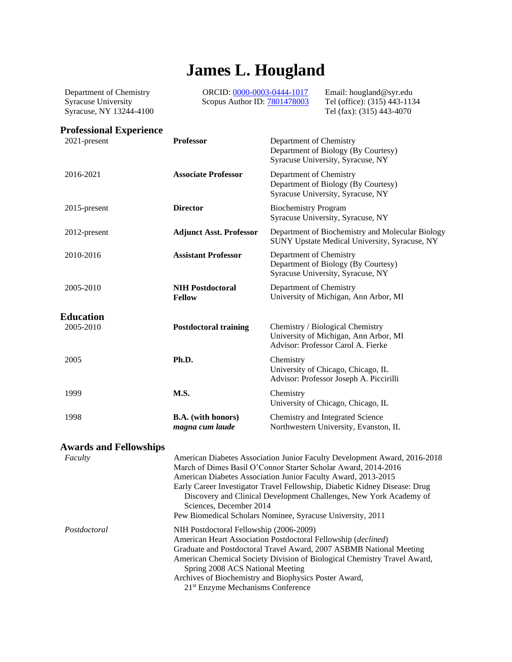# **James L. Hougland**

Department of Chemistry Syracuse University Syracuse, NY 13244-4100 ORCID[: 0000-0003-0444-1017](https://orcid.org/0000-0003-0444-1017) Scopus Author ID: [7801478003](https://www.scopus.com/authid/detail.uri?authorId=7801478003) Email: hougland@syr.edu Tel (office): (315) 443-1134 Tel (fax): (315) 443-4070

# **Professional Experience**

| 2021-present                  | <b>Professor</b>                                                            | Department of Chemistry<br>Department of Biology (By Courtesy)<br>Syracuse University, Syracuse, NY                                                                                                                                                                                                                                                                                                                            |
|-------------------------------|-----------------------------------------------------------------------------|--------------------------------------------------------------------------------------------------------------------------------------------------------------------------------------------------------------------------------------------------------------------------------------------------------------------------------------------------------------------------------------------------------------------------------|
| 2016-2021                     | <b>Associate Professor</b>                                                  | Department of Chemistry<br>Department of Biology (By Courtesy)<br>Syracuse University, Syracuse, NY                                                                                                                                                                                                                                                                                                                            |
| 2015-present                  | <b>Director</b>                                                             | <b>Biochemistry Program</b><br>Syracuse University, Syracuse, NY                                                                                                                                                                                                                                                                                                                                                               |
| 2012-present                  | <b>Adjunct Asst. Professor</b>                                              | Department of Biochemistry and Molecular Biology<br>SUNY Upstate Medical University, Syracuse, NY                                                                                                                                                                                                                                                                                                                              |
| 2010-2016                     | <b>Assistant Professor</b>                                                  | Department of Chemistry<br>Department of Biology (By Courtesy)<br>Syracuse University, Syracuse, NY                                                                                                                                                                                                                                                                                                                            |
| 2005-2010                     | <b>NIH Postdoctoral</b><br><b>Fellow</b>                                    | Department of Chemistry<br>University of Michigan, Ann Arbor, MI                                                                                                                                                                                                                                                                                                                                                               |
| <b>Education</b>              |                                                                             |                                                                                                                                                                                                                                                                                                                                                                                                                                |
| 2005-2010                     | <b>Postdoctoral training</b>                                                | Chemistry / Biological Chemistry<br>University of Michigan, Ann Arbor, MI<br>Advisor: Professor Carol A. Fierke                                                                                                                                                                                                                                                                                                                |
| 2005                          | Ph.D.                                                                       | Chemistry<br>University of Chicago, Chicago, IL<br>Advisor: Professor Joseph A. Piccirilli                                                                                                                                                                                                                                                                                                                                     |
| 1999                          | M.S.                                                                        | Chemistry<br>University of Chicago, Chicago, IL                                                                                                                                                                                                                                                                                                                                                                                |
| 1998                          | <b>B.A.</b> (with honors)<br>magna cum laude                                | Chemistry and Integrated Science<br>Northwestern University, Evanston, IL                                                                                                                                                                                                                                                                                                                                                      |
| <b>Awards and Fellowships</b> |                                                                             |                                                                                                                                                                                                                                                                                                                                                                                                                                |
| Faculty                       | Sciences, December 2014                                                     | American Diabetes Association Junior Faculty Development Award, 2016-2018<br>March of Dimes Basil O'Connor Starter Scholar Award, 2014-2016<br>American Diabetes Association Junior Faculty Award, 2013-2015<br>Early Career Investigator Travel Fellowship, Diabetic Kidney Disease: Drug<br>Discovery and Clinical Development Challenges, New York Academy of<br>Pew Biomedical Scholars Nominee, Syracuse University, 2011 |
| Postdoctoral                  | NIH Postdoctoral Fellowship (2006-2009)<br>Spring 2008 ACS National Meeting | American Heart Association Postdoctoral Fellowship (declined)<br>Graduate and Postdoctoral Travel Award, 2007 ASBMB National Meeting<br>American Chemical Society Division of Biological Chemistry Travel Award,<br>Archives of Biochemistry and Biophysics Poster Award,                                                                                                                                                      |

21st Enzyme Mechanisms Conference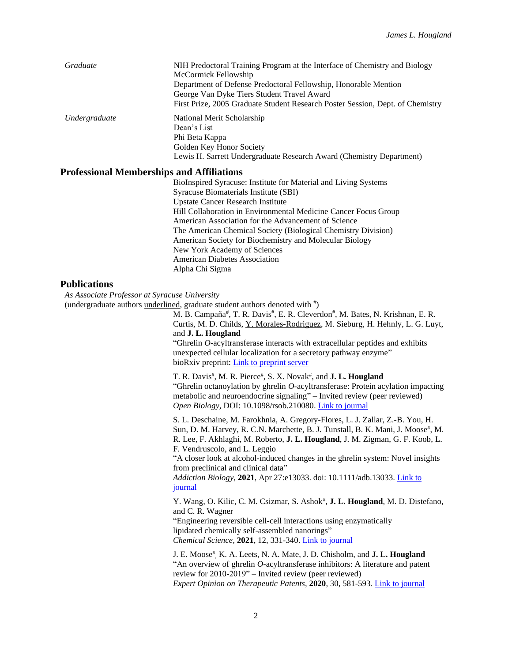| Graduate      | NIH Predoctoral Training Program at the Interface of Chemistry and Biology<br>McCormick Fellowship<br>Department of Defense Predoctoral Fellowship, Honorable Mention<br>George Van Dyke Tiers Student Travel Award<br>First Prize, 2005 Graduate Student Research Poster Session, Dept. of Chemistry |
|---------------|-------------------------------------------------------------------------------------------------------------------------------------------------------------------------------------------------------------------------------------------------------------------------------------------------------|
| Undergraduate | National Merit Scholarship<br>Dean's List<br>Phi Beta Kappa<br>Golden Key Honor Society<br>Lewis H. Sarrett Undergraduate Research Award (Chemistry Department)                                                                                                                                       |

#### **Professional Memberships and Affiliations**

BioInspired Syracuse: Institute for Material and Living Systems Syracuse Biomaterials Institute (SBI) Upstate Cancer Research Institute Hill Collaboration in Environmental Medicine Cancer Focus Group American Association for the Advancement of Science The American Chemical Society (Biological Chemistry Division) American Society for Biochemistry and Molecular Biology New York Academy of Sciences American Diabetes Association Alpha Chi Sigma

### **Publications**

*As Associate Professor at Syracuse University*

(undergraduate authors *underlined*, graduate student authors denoted with  $\overline{p}$ )

M. B. Campaña<sup>#</sup>, T. R. Davis<sup>#</sup>, E. R. Cleverdon<sup>#</sup>, M. Bates, N. Krishnan, E. R. Curtis, M. D. Childs, Y. Morales-Rodriguez, M. Sieburg, H. Hehnly, L. G. Luyt, and **J. L. Hougland**

"Ghrelin *O*-acyltransferase interacts with extracellular peptides and exhibits unexpected cellular localization for a secretory pathway enzyme" bioRxiv preprint[: Link to preprint server](https://www.biorxiv.org/content/10.1101/2021.06.01.446150v1)

T. R. Davis<sup>#</sup>, M. R. Pierce<sup>#</sup>, S. X. Novak<sup>#</sup>, and **J. L. Hougland** "Ghrelin octanoylation by ghrelin *O*-acyltransferase: Protein acylation impacting metabolic and neuroendocrine signaling" – Invited review (peer reviewed) *Open Biology,* DOI: 10.1098/rsob.210080. [Link to journal](https://royalsocietypublishing.org/doi/10.1098/rsob.210080)

S. L. Deschaine, M. Farokhnia, A. Gregory-Flores, L. J. Zallar, Z.-B. You, H. Sun, D. M. Harvey, R. C.N. Marchette, B. J. Tunstall, B. K. Mani, J. Moose#, M. R. Lee, F. Akhlaghi, M. Roberto, **J. L. Hougland**, J. M. Zigman, G. F. Koob, L. F. Vendruscolo, and L. Leggio

"A closer look at alcohol-induced changes in the ghrelin system: Novel insights from preclinical and clinical data"

*Addiction Biology,* **2021**, Apr 27:e13033. doi: 10.1111/adb.13033. [Link to](https://onlinelibrary.wiley.com/doi/10.1111/adb.13033)  [journal](https://onlinelibrary.wiley.com/doi/10.1111/adb.13033)

Y. Wang, O. Kilic, C. M. Csizmar, S. Ashok<sup>#</sup>, J. L. Hougland, M. D. Distefano, and C. R. Wagner "Engineering reversible cell-cell interactions using enzymatically lipidated chemically self-assembled nanorings" *Chemical Science,* **2021**, 12, 331-340[. Link to journal](https://pubs.rsc.org/en/content/articlelanding/2021/sc/d0sc03194a#!divAbstract)

J. E. Moose# , K. A. Leets, N. A. Mate, J. D. Chisholm, and **J. L. Hougland** "An overview of ghrelin *O*-acyltransferase inhibitors: A literature and patent review for 2010-2019" – Invited review (peer reviewed) *Expert Opinion on Therapeutic Patents*, **2020**, 30, 581-593*.* [Link to journal](https://www.tandfonline.com/doi/full/10.1080/13543776.2020.1776263)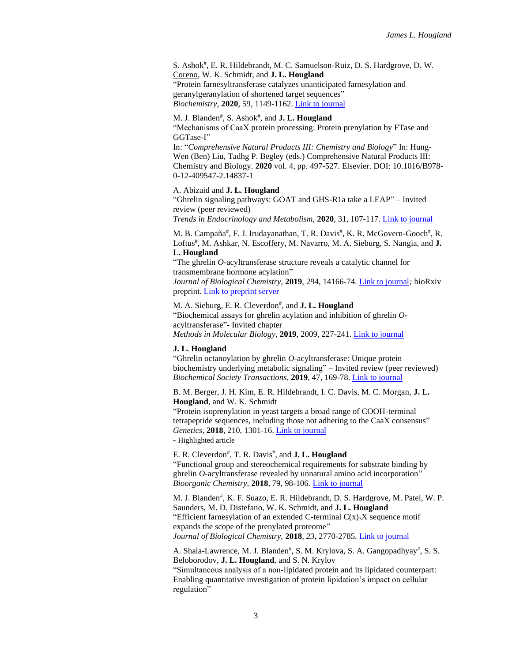S. Ashok<sup>#</sup>, E. R. Hildebrandt, M. C. Samuelson-Ruiz, D. S. Hardgrove, <u>D. W.</u> Coreno, W. K. Schmidt, and **J. L. Hougland** "Protein farnesyltransferase catalyzes unanticipated farnesylation and geranylgeranylation of shortened target sequences"

*Biochemistry,* **2020**, 59, 1149-1162. [Link to journal](https://pubs.acs.org/doi/10.1021/acs.biochem.0c00081)

#### M. J. Blanden<sup>#</sup>, S. Ashok<sup>#</sup>, and **J. L. Hougland**

"Mechanisms of CaaX protein processing: Protein prenylation by FTase and GGTase-I"

In: "*Comprehensive Natural Products III: Chemistry and Biology*" In: Hung-Wen (Ben) Liu, Tadhg P. Begley (eds.) Comprehensive Natural Products III: Chemistry and Biology. **2020** vol. 4, pp. 497-527. Elsevier. DOI: 10.1016/B978- 0-12-409547-2.14837-1

#### A. Abizaid and **J. L. Hougland**

"Ghrelin signaling pathways: GOAT and GHS-R1a take a LEAP" – Invited review (peer reviewed)

*Trends in Endocrinology and Metabolism,* **2020**, 31, 107-117[. Link to journal](https://www.sciencedirect.com/science/article/pii/S1043276019302036?via%3Dihub)

M. B. Campaña<sup>#</sup>, F. J. Irudayanathan, T. R. Davis<sup>#</sup>, K. R. McGovern-Gooch<sup>#</sup>, R. Loftus<sup>#</sup>, M. Ashkar, N. Escoffery, M. Navarro, M. A. Sieburg, S. Nangia, and J. **L. Hougland**

"The ghrelin *O*-acyltransferase structure reveals a catalytic channel for transmembrane hormone acylation"

*Journal of Biological Chemistry,* **2019**, 294, 14166-74[. Link to journal](http://www.jbc.org/content/early/2019/08/14/jbc.AC119.009749.long)*;* bioRxiv preprint[. Link to preprint server](https://doi.org/10.1101/556233)

M. A. Sieburg, E. R. Cleverdon<sup>#</sup>, and **J. L. Hougland** "Biochemical assays for ghrelin acylation and inhibition of ghrelin *O*acyltransferase"- Invited chapter *Methods in Molecular Biology,* **2019**, 2009, 227-241. [Link to journal](https://link.springer.com/protocol/10.1007%2F978-1-4939-9532-5_18)

### **J. L. Hougland**

"Ghrelin octanoylation by ghrelin *O-*acyltransferase: Unique protein biochemistry underlying metabolic signaling" – Invited review (peer reviewed) *Biochemical Society Transactions*, **2019**, 47, 169-78[. Link to journal](http://www.biochemsoctrans.org/content/47/1/169.long)

B. M. Berger, J. H. Kim, E. R. Hildebrandt, I. C. Davis, M. C. Morgan, **J. L. Hougland**, and W. K. Schmidt

"Protein isoprenylation in yeast targets a broad range of COOH-terminal tetrapeptide sequences, including those not adhering to the CaaX consensus" *Genetics,* **2018**, 210, 1301-16. [Link to journal](http://www.genetics.org/content/early/2018/09/25/genetics.118.301454.long)

**-** Highlighted article

E. R. Cleverdon<sup>#</sup>, T. R. Davis<sup>#</sup>, and **J. L. Hougland** "Functional group and stereochemical requirements for substrate binding by ghrelin *O-*acyltransferase revealed by unnatural amino acid incorporation" *Bioorganic Chemistry,* **2018**, 79, 98-106*.* [Link to journal](https://www.sciencedirect.com/science/article/pii/S0045206818301196)

M. J. Blanden#, K. F. Suazo, E. R. Hildebrandt, D. S. Hardgrove, M. Patel, W. P. Saunders, M. D. Distefano, W. K. Schmidt, and **J. L. Hougland** "Efficient farnesylation of an extended C-terminal  $C(x)$ <sub>3</sub>X sequence motif expands the scope of the prenylated proteome" *Journal of Biological Chemistry,* **2018**, *23*, 2770-2785[. Link to journal](http://www.jbc.org/content/293/8/2770.long)

A. Shala-Lawrence, M. J. Blanden<sup>#</sup>, S. M. Krylova, S. A. Gangopadhyay<sup>#</sup>, S. S. Beloborodov, **J. L. Hougland**, and S. N. Krylov

"Simultaneous analysis of a non-lipidated protein and its lipidated counterpart: Enabling quantitative investigation of protein lipidation's impact on cellular regulation"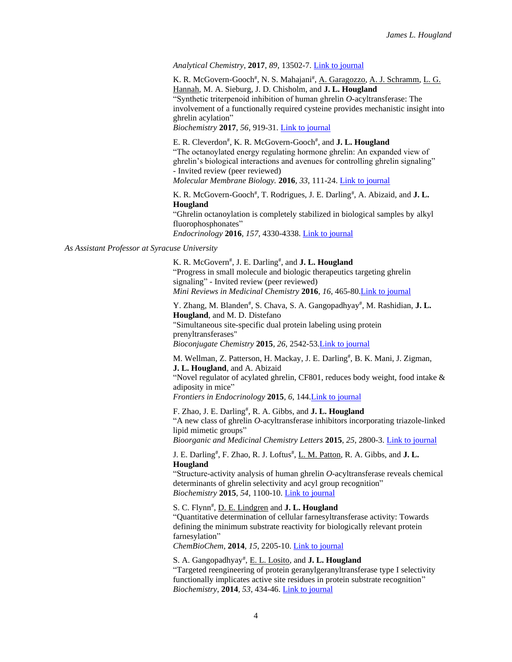#### *Analytical Chemistry*, **2017**, *89*, 13502-7. [Link to journal](http://pubs.acs.org/doi/full/10.1021/acs.analchem.7b03846)

K. R. McGovern-Gooch<sup>#</sup>, N. S. Mahajani<sup>#</sup>, A. Garagozzo, A. J. Schramm, L. G. Hannah, M. A. Sieburg, J. D. Chisholm, and **J. L. Hougland** "Synthetic triterpenoid inhibition of human ghrelin *O-*acyltransferase: The involvement of a functionally required cysteine provides mechanistic insight into ghrelin acylation"

*Biochemistry* **2017**, *56*, 919-31[. Link to journal](http://pubs.acs.org/doi/abs/10.1021/acs.biochem.6b01008)

E. R. Cleverdon# , K. R. McGovern-Gooch# , and **J. L. Hougland** "The octanoylated energy regulating hormone ghrelin: An expanded view of ghrelin's biological interactions and avenues for controlling ghrelin signaling" - Invited review (peer reviewed) *Molecular Membrane Biology.* **2016***, 33*, 111-24[. Link to journal](http://www.tandfonline.com/doi/full/10.1080/09687688.2017.1388930)

K. R. McGovern-Gooch<sup>#</sup>, T. Rodrigues, J. E. Darling<sup>#</sup>, A. Abizaid, and **J. L. Hougland**

"Ghrelin octanoylation is completely stabilized in biological samples by alkyl fluorophosphonates" *Endocrinology* **2016***, 157,* 4330-4338. [Link to journal](http://press.endocrine.org/doi/10.1210/en.2016-1657?url_ver=Z39.88-2003&rfr_id=ori%3Arid%3Acrossref.org&rfr_dat=cr_pub%3Dpubmed&)

*As Assistant Professor at Syracuse University*

K. R. McGovern<sup>#</sup>, J. E. Darling<sup>#</sup>, and **J. L. Hougland** "Progress in small molecule and biologic therapeutics targeting ghrelin signaling" - Invited review (peer reviewed) *Mini Reviews in Medicinal Chemistry* **2016**, *16*, 465-8[0.Link to journal](http://benthamscience.com/journal/abstracts.php?journalID=mrmc&articleID=133327)

Y. Zhang, M. Blanden<sup>#</sup>, S. Chava, S. A. Gangopadhyay<sup>#</sup>, M. Rashidian, J. L. **Hougland**, and M. D. Distefano "Simultaneous site-specific dual protein labeling using protein prenyltransferases" *Bioconjugate Chemistry* **2015***, 26,* 2542-53[.Link to journal](http://pubs.acs.org/doi/10.1021/acs.bioconjchem.5b00553)

M. Wellman, Z. Patterson, H. Mackay, J. E. Darling<sup>#</sup>, B. K. Mani, J. Zigman, **J. L. Hougland**, and A. Abizaid

"Novel regulator of acylated ghrelin, CF801, reduces body weight, food intake & adiposity in mice"

*Frontiers in Endocrinology* **2015**, *6*, 144[.Link to journal](http://journal.frontiersin.org/article/10.3389/fendo.2015.00144/abstract)

F. Zhao, J. E. Darling<sup>#</sup>, R. A. Gibbs, and J. L. Hougland "A new class of ghrelin *O-*acyltransferase inhibitors incorporating triazole-linked lipid mimetic groups" *Bioorganic and Medicinal Chemistry Letters* **2015**, *25*, 2800-3. [Link to journal](http://www.sciencedirect.com/science/article/pii/S0960894X1500459X)

J. E. Darling# , F. Zhao, R. J. Loftus# , L. M. Patton, R. A. Gibbs, and **J. L. Hougland**

"Structure-activity analysis of human ghrelin *O-*acyltransferase reveals chemical determinants of ghrelin selectivity and acyl group recognition" *Biochemistry* **2015**, *54,* 1100-10[. Link to journal](http://pubs.acs.org/doi/abs/10.1021/bi5010359)

S. C. Flynn<sup>#</sup>, **D. E. Lindgren** and **J. L. Hougland** 

"Quantitative determination of cellular farnesyltransferase activity: Towards defining the minimum substrate reactivity for biologically relevant protein farnesylation"

*ChemBioChem*, **2014**, *15*, 2205-10. [Link to journal](http://onlinelibrary.wiley.com/doi/10.1002/cbic.201402239/abstract;jsessionid=6898D101325A365C010549A2D5B02275.f03t01)

S. A. Gangopadhyay# , E. L. Losito, and **J. L. Hougland**

"Targeted reengineering of protein geranylgeranyltransferase type I selectivity functionally implicates active site residues in protein substrate recognition" *Biochemistry,* **2014***, 53*, 434-46. [Link to journal](http://pubs.acs.org/doi/abs/10.1021/bi4011732)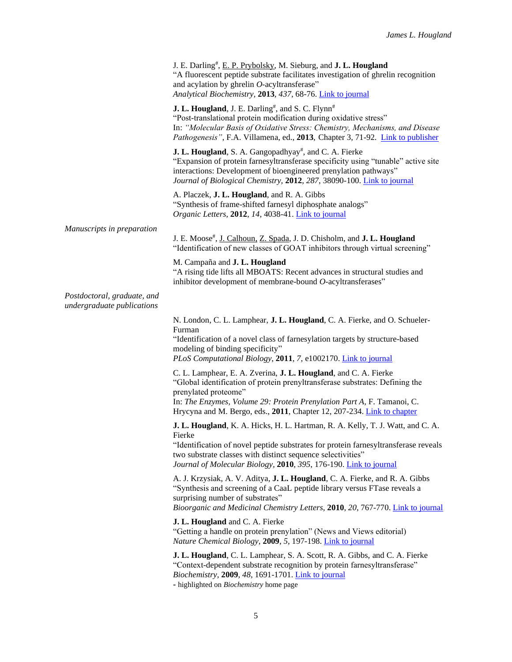|                                                           | J. E. Darling#, E. P. Prybolsky, M. Sieburg, and J. L. Hougland<br>"A fluorescent peptide substrate facilitates investigation of ghrelin recognition<br>and acylation by ghrelin O-acyltransferase"<br>Analytical Biochemistry, 2013, 437, 68-76. Link to journal                                                           |
|-----------------------------------------------------------|-----------------------------------------------------------------------------------------------------------------------------------------------------------------------------------------------------------------------------------------------------------------------------------------------------------------------------|
|                                                           | J. L. Hougland, J. E. Darling#, and S. C. Flynn#<br>"Post-translational protein modification during oxidative stress"<br>In: "Molecular Basis of Oxidative Stress: Chemistry, Mechanisms, and Disease<br>Pathogenesis", F.A. Villamena, ed., 2013, Chapter 3, 71-92. Link to publisher                                      |
|                                                           | J. L. Hougland, S. A. Gangopadhyay <sup>#</sup> , and C. A. Fierke<br>"Expansion of protein farnesyltransferase specificity using "tunable" active site<br>interactions: Development of bioengineered prenylation pathways"<br>Journal of Biological Chemistry, 2012, 287, 38090-100. Link to journal                       |
|                                                           | A. Placzek, J. L. Hougland, and R. A. Gibbs<br>"Synthesis of frame-shifted farnesyl diphosphate analogs"<br>Organic Letters, 2012, 14, 4038-41. Link to journal                                                                                                                                                             |
| Manuscripts in preparation                                | J. E. Moose#, J. Calhoun, Z. Spada, J. D. Chisholm, and J. L. Hougland<br>"Identification of new classes of GOAT inhibitors through virtual screening"                                                                                                                                                                      |
|                                                           | M. Campaña and J. L. Hougland<br>"A rising tide lifts all MBOATS: Recent advances in structural studies and<br>inhibitor development of membrane-bound O-acyltransferases"                                                                                                                                                  |
| Postdoctoral, graduate, and<br>undergraduate publications |                                                                                                                                                                                                                                                                                                                             |
|                                                           | N. London, C. L. Lamphear, J. L. Hougland, C. A. Fierke, and O. Schueler-<br>Furman<br>"Identification of a novel class of farnesylation targets by structure-based<br>modeling of binding specificity"<br>PLoS Computational Biology, 2011, 7, e1002170. Link to journal                                                   |
|                                                           | C. L. Lamphear, E. A. Zverina, J. L. Hougland, and C. A. Fierke<br>"Global identification of protein prenyltransferase substrates: Defining the<br>prenylated proteome"<br>In: The Enzymes, Volume 29: Protein Prenylation Part A, F. Tamanoi, C.<br>Hrycyna and M. Bergo, eds., 2011, Chapter 12, 207-234. Link to chapter |
|                                                           | J. L. Hougland, K. A. Hicks, H. L. Hartman, R. A. Kelly, T. J. Watt, and C. A.<br>Fierke<br>"Identification of novel peptide substrates for protein farnesyltransferase reveals<br>two substrate classes with distinct sequence selectivities"<br>Journal of Molecular Biology, 2010, 395, 176-190. Link to journal         |
|                                                           | A. J. Krzysiak, A. V. Aditya, J. L. Hougland, C. A. Fierke, and R. A. Gibbs<br>"Synthesis and screening of a CaaL peptide library versus FTase reveals a<br>surprising number of substrates"<br>Bioorganic and Medicinal Chemistry Letters, 2010, 20, 767-770. Link to journal                                              |
|                                                           | J. L. Hougland and C. A. Fierke<br>"Getting a handle on protein prenylation" (News and Views editorial)<br>Nature Chemical Biology, 2009, 5, 197-198. Link to journal                                                                                                                                                       |
|                                                           | J. L. Hougland, C. L. Lamphear, S. A. Scott, R. A. Gibbs, and C. A. Fierke<br>"Context-dependent substrate recognition by protein farnesyltransferase"<br>Biochemistry, 2009, 48, 1691-1701. Link to journal<br>- highlighted on <i>Biochemistry</i> home page                                                              |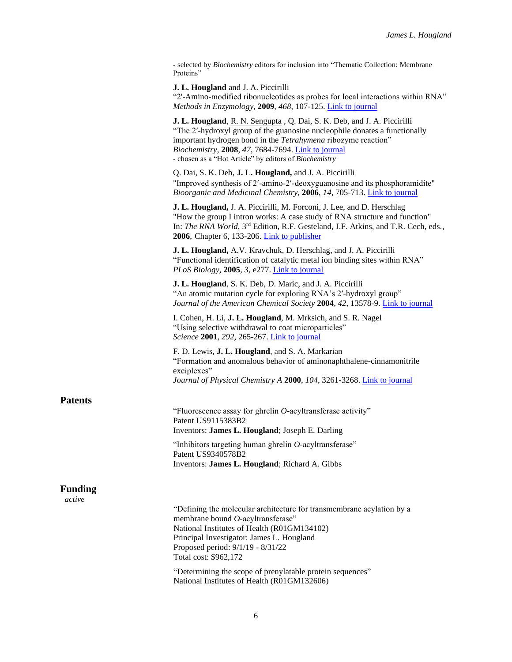- selected by *Biochemistry* editors for inclusion into "Thematic Collection: Membrane Proteins"

**J. L. Hougland** and J. A. Piccirilli

"2'-Amino*-*modified ribonucleotides as probes for local interactions within RNA" *Methods in Enzymology*, **2009**, *468*, 107-125[. Link to journal](http://www.sciencedirect.com/science/article/pii/S007668790968006X)

**J. L. Hougland**, R. N. Sengupta , Q. Dai, S. K. Deb, and J. A. Piccirilli "The 2′-hydroxyl group of the guanosine nucleophile donates a functionally important hydrogen bond in the *Tetrahymena* ribozyme reaction" *Biochemistry,* **2008**, *47*, 7684-7694. [Link to journal](http://pubs.acs.org/doi/abs/10.1021/bi8000648) - chosen as a "Hot Article" by editors of *Biochemistry*

Q. Dai, S. K. Deb, **J. L. Hougland,** and J. A. Piccirilli "Improved synthesis of 2-amino*-*2-deoxyguanosine and its phosphoramidite" *Bioorganic and Medicinal Chemistry,* **2006**, *14*, 705-713[. Link to journal](http://www.sciencedirect.com/science/article/pii/S0968089605008308)

**J. L. Hougland,** J. A. Piccirilli, M. Forconi, J. Lee, and D. Herschlag "How the group I intron works: A case study of RNA structure and function" In: *The RNA World*, 3rd Edition, R.F. Gesteland, J.F. Atkins, and T.R. Cech, eds., **2006**, Chapter 6, 133-206. [Link to publisher](https://cshmonographs.org/index.php/monographs/article/view/3732)

**J. L. Hougland,** A.V. Kravchuk, D. Herschlag, and J. A. Piccirilli "Functional identification of catalytic metal ion binding sites within RNA" *PLoS Biology,* **2005***, 3,* e277[. Link to journal](http://journals.plos.org/plosbiology/article?id=10.1371/journal.pbio.0030277)

**J. L. Hougland**, S. K. Deb, D. Maric, and J. A. Piccirilli "An atomic mutation cycle for exploring RNA's 2′-hydroxyl group" *Journal of the American Chemical Society* **2004**, *42*, 13578-9[. Link to journal](http://pubs.acs.org/doi/abs/10.1021/ja0469129)

I. Cohen, H. Li, **J. L. Hougland**, M. Mrksich, and S. R. Nagel "Using selective withdrawal to coat microparticles" *Science* **2001**, *292*, 265-267[. Link to journal](http://www.sciencemag.org/content/292/5515/265.long)

F. D. Lewis, **J. L. Hougland**, and S. A. Markarian "Formation and anomalous behavior of aminonaphthalene-cinnamonitrile exciplexes" *Journal of Physical Chemistry A* **2000**, *104*, 3261-3268[. Link to journal](http://pubs.acs.org/doi/abs/10.1021/jp9933828)

## **Patents**

"Fluorescence assay for ghrelin *O-*acyltransferase activity" Patent US9115383B2 Inventors: **James L. Hougland**; Joseph E. Darling

"Inhibitors targeting human ghrelin *O-*acyltransferase" Patent US9340578B2 Inventors: **James L. Hougland**; Richard A. Gibbs

## **Funding**

*active*

"Defining the molecular architecture for transmembrane acylation by a membrane bound *O-*acyltransferase" National Institutes of Health (R01GM134102) Principal Investigator: James L. Hougland Proposed period: 9/1/19 - 8/31/22 Total cost: \$962,172

"Determining the scope of prenylatable protein sequences" National Institutes of Health (R01GM132606)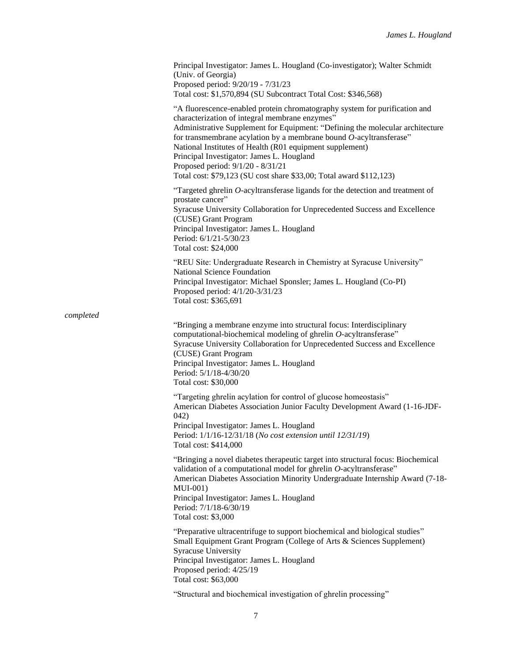|           | Principal Investigator: James L. Hougland (Co-investigator); Walter Schmidt<br>(Univ. of Georgia)<br>Proposed period: 9/20/19 - 7/31/23<br>Total cost: \$1,570,894 (SU Subcontract Total Cost: \$346,568)                                                                                                                                                                                                                                                                                                   |
|-----------|-------------------------------------------------------------------------------------------------------------------------------------------------------------------------------------------------------------------------------------------------------------------------------------------------------------------------------------------------------------------------------------------------------------------------------------------------------------------------------------------------------------|
|           | "A fluorescence-enabled protein chromatography system for purification and<br>characterization of integral membrane enzymes"<br>Administrative Supplement for Equipment: "Defining the molecular architecture<br>for transmembrane acylation by a membrane bound $O$ -acyltransferase"<br>National Institutes of Health (R01 equipment supplement)<br>Principal Investigator: James L. Hougland<br>Proposed period: 9/1/20 - 8/31/21<br>Total cost: \$79,123 (SU cost share \$33,00; Total award \$112,123) |
|           | "Targeted ghrelin O-acyltransferase ligands for the detection and treatment of<br>prostate cancer"<br>Syracuse University Collaboration for Unprecedented Success and Excellence<br>(CUSE) Grant Program<br>Principal Investigator: James L. Hougland<br>Period: 6/1/21-5/30/23<br>Total cost: \$24,000                                                                                                                                                                                                     |
|           | "REU Site: Undergraduate Research in Chemistry at Syracuse University"<br>National Science Foundation<br>Principal Investigator: Michael Sponsler; James L. Hougland (Co-PI)<br>Proposed period: 4/1/20-3/31/23<br>Total cost: \$365,691                                                                                                                                                                                                                                                                    |
| completed |                                                                                                                                                                                                                                                                                                                                                                                                                                                                                                             |
|           | "Bringing a membrane enzyme into structural focus: Interdisciplinary<br>computational-biochemical modeling of ghrelin O-acyltransferase"<br>Syracuse University Collaboration for Unprecedented Success and Excellence<br>(CUSE) Grant Program<br>Principal Investigator: James L. Hougland<br>Period: 5/1/18-4/30/20<br>Total cost: \$30,000                                                                                                                                                               |
|           | "Targeting ghrelin acylation for control of glucose homeostasis"<br>American Diabetes Association Junior Faculty Development Award (1-16-JDF-<br>042)                                                                                                                                                                                                                                                                                                                                                       |
|           | Principal Investigator: James L. Hougland<br>Period: 1/1/16-12/31/18 (No cost extension until 12/31/19)<br>Total cost: \$414,000                                                                                                                                                                                                                                                                                                                                                                            |
|           | "Bringing a novel diabetes therapeutic target into structural focus: Biochemical<br>validation of a computational model for ghrelin O-acyltransferase"<br>American Diabetes Association Minority Undergraduate Internship Award (7-18-<br>$MUI-001)$<br>Principal Investigator: James L. Hougland<br>Period: 7/1/18-6/30/19<br>Total cost: \$3,000                                                                                                                                                          |
|           | "Preparative ultracentrifuge to support biochemical and biological studies"<br>Small Equipment Grant Program (College of Arts & Sciences Supplement)<br><b>Syracuse University</b><br>Principal Investigator: James L. Hougland<br>Proposed period: 4/25/19<br>Total cost: \$63,000                                                                                                                                                                                                                         |
|           | "Structural and biochemical investigation of ghrelin processing"                                                                                                                                                                                                                                                                                                                                                                                                                                            |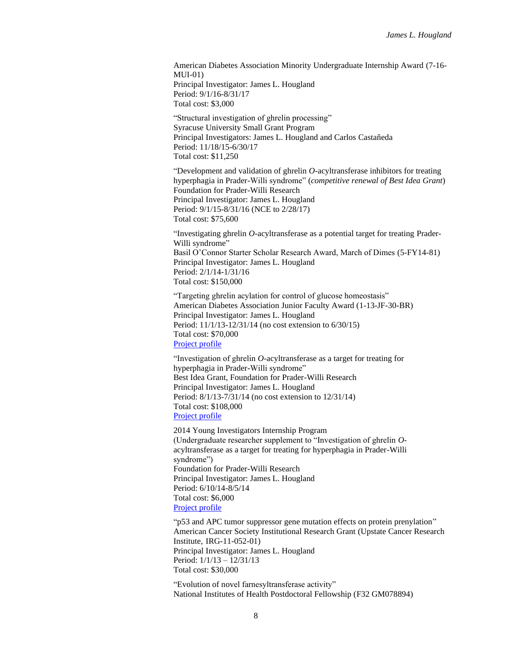American Diabetes Association Minority Undergraduate Internship Award (7-16- MUI-01) Principal Investigator: James L. Hougland Period: 9/1/16-8/31/17 Total cost: \$3,000

"Structural investigation of ghrelin processing" Syracuse University Small Grant Program Principal Investigators: James L. Hougland and Carlos Castañeda Period: 11/18/15-6/30/17 Total cost: \$11,250

"Development and validation of ghrelin *O-*acyltransferase inhibitors for treating hyperphagia in Prader-Willi syndrome" (*competitive renewal of Best Idea Grant*) Foundation for Prader-Willi Research Principal Investigator: James L. Hougland Period: 9/1/15-8/31/16 (NCE to 2/28/17) Total cost: \$75,600

"Investigating ghrelin *O-*acyltransferase as a potential target for treating Prader-Willi syndrome" Basil O'Connor Starter Scholar Research Award, March of Dimes (5-FY14-81) Principal Investigator: James L. Hougland Period: 2/1/14-1/31/16 Total cost: \$150,000

"Targeting ghrelin acylation for control of glucose homeostasis" American Diabetes Association Junior Faculty Award (1-13-JF-30-BR) Principal Investigator: James L. Hougland Period: 11/1/13-12/31/14 (no cost extension to 6/30/15) Total cost: \$70,000 [Project profile](http://professional.diabetes.org/ResearchDB_Detail.aspx?rdbid=400)

"Investigation of ghrelin *O-*acyltransferase as a target for treating for hyperphagia in Prader-Willi syndrome" Best Idea Grant, Foundation for Prader-Willi Research Principal Investigator: James L. Hougland Period: 8/1/13-7/31/14 (no cost extension to 12/31/14) Total cost: \$108,000 [Project profile](http://www.fpwr.org/fpwr-funded-projects/investigation-of-ghrelin-o-acyltransferase-as-a-target-for-treating-hyperphagia-in-prader-willi-syndrome/)

2014 Young Investigators Internship Program (Undergraduate researcher supplement to "Investigation of ghrelin *O*acyltransferase as a target for treating for hyperphagia in Prader-Willi syndrome") Foundation for Prader-Willi Research Principal Investigator: James L. Hougland Period: 6/10/14-8/5/14 Total cost: \$6,000 [Project profile](http://www.fpwr.org/fpwr-funded-projects/fund-a-project-investing-in-young-investigators/)

"p53 and APC tumor suppressor gene mutation effects on protein prenylation" American Cancer Society Institutional Research Grant (Upstate Cancer Research Institute, IRG-11-052-01) Principal Investigator: James L. Hougland Period: 1/1/13 – 12/31/13 Total cost: \$30,000

"Evolution of novel farnesyltransferase activity" National Institutes of Health Postdoctoral Fellowship (F32 GM078894)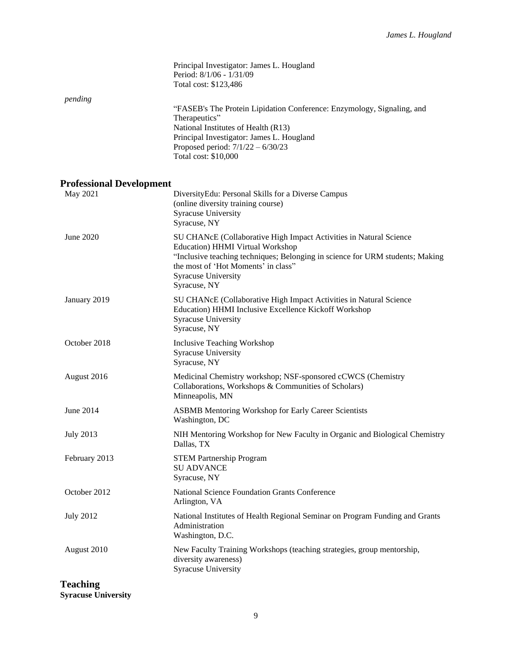|                                 | Principal Investigator: James L. Hougland<br>Period: 8/1/06 - 1/31/09<br>Total cost: \$123,486                                                                                                                                                                                       |
|---------------------------------|--------------------------------------------------------------------------------------------------------------------------------------------------------------------------------------------------------------------------------------------------------------------------------------|
| pending                         | "FASEB's The Protein Lipidation Conference: Enzymology, Signaling, and<br>Therapeutics"<br>National Institutes of Health (R13)<br>Principal Investigator: James L. Hougland<br>Proposed period: $7/1/22 - 6/30/23$<br>Total cost: \$10,000                                           |
| <b>Professional Development</b> |                                                                                                                                                                                                                                                                                      |
| May 2021                        | DiversityEdu: Personal Skills for a Diverse Campus<br>(online diversity training course)<br>Syracuse University<br>Syracuse, NY                                                                                                                                                      |
| June 2020                       | SU CHANcE (Collaborative High Impact Activities in Natural Science<br><b>Education</b> ) HHMI Virtual Workshop<br>"Inclusive teaching techniques; Belonging in science for URM students; Making<br>the most of 'Hot Moments' in class"<br><b>Syracuse University</b><br>Syracuse, NY |
| January 2019                    | SU CHANcE (Collaborative High Impact Activities in Natural Science<br>Education) HHMI Inclusive Excellence Kickoff Workshop<br>Syracuse University<br>Syracuse, NY                                                                                                                   |
| October 2018                    | <b>Inclusive Teaching Workshop</b><br><b>Syracuse University</b><br>Syracuse, NY                                                                                                                                                                                                     |
| August 2016                     | Medicinal Chemistry workshop; NSF-sponsored cCWCS (Chemistry<br>Collaborations, Workshops & Communities of Scholars)<br>Minneapolis, MN                                                                                                                                              |
| June 2014                       | <b>ASBMB Mentoring Workshop for Early Career Scientists</b><br>Washington, DC                                                                                                                                                                                                        |
| <b>July 2013</b>                | NIH Mentoring Workshop for New Faculty in Organic and Biological Chemistry<br>Dallas, TX                                                                                                                                                                                             |
| February 2013                   | <b>STEM Partnership Program</b><br><b>SU ADVANCE</b><br>Syracuse, NY                                                                                                                                                                                                                 |
| October 2012                    | National Science Foundation Grants Conference<br>Arlington, VA                                                                                                                                                                                                                       |
| <b>July 2012</b>                | National Institutes of Health Regional Seminar on Program Funding and Grants<br>Administration<br>Washington, D.C.                                                                                                                                                                   |
| August 2010                     | New Faculty Training Workshops (teaching strategies, group mentorship,<br>diversity awareness)<br><b>Syracuse University</b>                                                                                                                                                         |
| Teaching                        |                                                                                                                                                                                                                                                                                      |

**Syracuse University**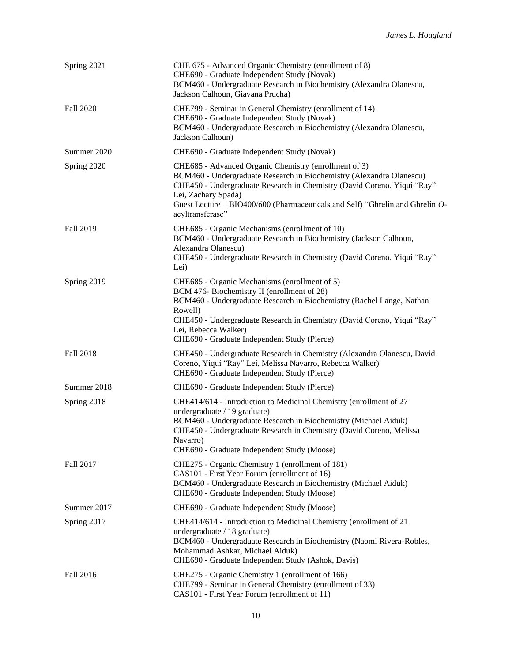| Spring 2021 | CHE 675 - Advanced Organic Chemistry (enrollment of 8)<br>CHE690 - Graduate Independent Study (Novak)<br>BCM460 - Undergraduate Research in Biochemistry (Alexandra Olanescu,<br>Jackson Calhoun, Giavana Prucha)                                                                                                                    |
|-------------|--------------------------------------------------------------------------------------------------------------------------------------------------------------------------------------------------------------------------------------------------------------------------------------------------------------------------------------|
| Fall 2020   | CHE799 - Seminar in General Chemistry (enrollment of 14)<br>CHE690 - Graduate Independent Study (Novak)<br>BCM460 - Undergraduate Research in Biochemistry (Alexandra Olanescu,<br>Jackson Calhoun)                                                                                                                                  |
| Summer 2020 | CHE690 - Graduate Independent Study (Novak)                                                                                                                                                                                                                                                                                          |
| Spring 2020 | CHE685 - Advanced Organic Chemistry (enrollment of 3)<br>BCM460 - Undergraduate Research in Biochemistry (Alexandra Olanescu)<br>CHE450 - Undergraduate Research in Chemistry (David Coreno, Yiqui "Ray"<br>Lei, Zachary Spada)<br>Guest Lecture - BIO400/600 (Pharmaceuticals and Self) "Ghrelin and Ghrelin O-<br>acyltransferase" |
| Fall 2019   | CHE685 - Organic Mechanisms (enrollment of 10)<br>BCM460 - Undergraduate Research in Biochemistry (Jackson Calhoun,<br>Alexandra Olanescu)<br>CHE450 - Undergraduate Research in Chemistry (David Coreno, Yiqui "Ray"<br>Lei)                                                                                                        |
| Spring 2019 | CHE685 - Organic Mechanisms (enrollment of 5)<br>BCM 476- Biochemistry II (enrollment of 28)<br>BCM460 - Undergraduate Research in Biochemistry (Rachel Lange, Nathan<br>Rowell)<br>CHE450 - Undergraduate Research in Chemistry (David Coreno, Yiqui "Ray"<br>Lei, Rebecca Walker)<br>CHE690 - Graduate Independent Study (Pierce)  |
| Fall 2018   | CHE450 - Undergraduate Research in Chemistry (Alexandra Olanescu, David<br>Coreno, Yiqui "Ray" Lei, Melissa Navarro, Rebecca Walker)<br>CHE690 - Graduate Independent Study (Pierce)                                                                                                                                                 |
| Summer 2018 | CHE690 - Graduate Independent Study (Pierce)                                                                                                                                                                                                                                                                                         |
| Spring 2018 | CHE414/614 - Introduction to Medicinal Chemistry (enrollment of 27<br>undergraduate / 19 graduate)<br>BCM460 - Undergraduate Research in Biochemistry (Michael Aiduk)<br>CHE450 - Undergraduate Research in Chemistry (David Coreno, Melissa<br>Navarro)<br>CHE690 - Graduate Independent Study (Moose)                              |
| Fall 2017   | CHE275 - Organic Chemistry 1 (enrollment of 181)<br>CAS101 - First Year Forum (enrollment of 16)<br>BCM460 - Undergraduate Research in Biochemistry (Michael Aiduk)<br>CHE690 - Graduate Independent Study (Moose)                                                                                                                   |
| Summer 2017 | CHE690 - Graduate Independent Study (Moose)                                                                                                                                                                                                                                                                                          |
| Spring 2017 | CHE414/614 - Introduction to Medicinal Chemistry (enrollment of 21<br>undergraduate / 18 graduate)<br>BCM460 - Undergraduate Research in Biochemistry (Naomi Rivera-Robles,<br>Mohammad Ashkar, Michael Aiduk)<br>CHE690 - Graduate Independent Study (Ashok, Davis)                                                                 |
| Fall 2016   | CHE275 - Organic Chemistry 1 (enrollment of 166)<br>CHE799 - Seminar in General Chemistry (enrollment of 33)<br>CAS101 - First Year Forum (enrollment of 11)                                                                                                                                                                         |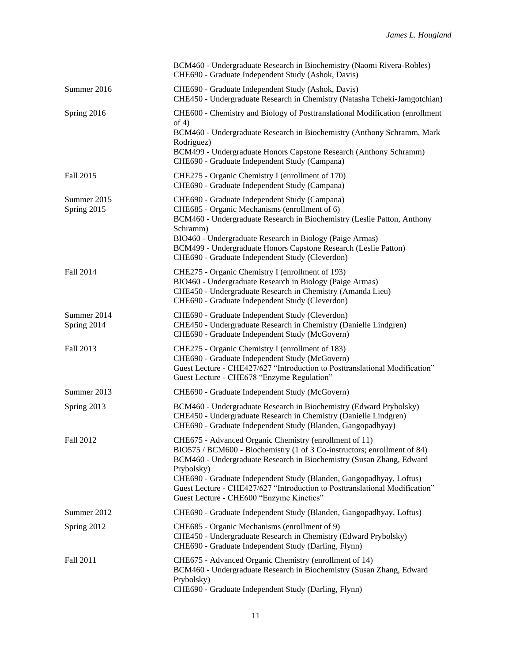|                            | BCM460 - Undergraduate Research in Biochemistry (Naomi Rivera-Robles)<br>CHE690 - Graduate Independent Study (Ashok, Davis)                                                                                                                                                                                                                                                    |
|----------------------------|--------------------------------------------------------------------------------------------------------------------------------------------------------------------------------------------------------------------------------------------------------------------------------------------------------------------------------------------------------------------------------|
| Summer 2016                | CHE690 - Graduate Independent Study (Ashok, Davis)<br>CHE450 - Undergraduate Research in Chemistry (Natasha Tcheki-Jamgotchian)                                                                                                                                                                                                                                                |
| Spring 2016                | CHE600 - Chemistry and Biology of Posttranslational Modification (enrollment<br>of $4)$<br>BCM460 - Undergraduate Research in Biochemistry (Anthony Schramm, Mark<br>Rodriguez)<br>BCM499 - Undergraduate Honors Capstone Research (Anthony Schramm)                                                                                                                           |
|                            | CHE690 - Graduate Independent Study (Campana)                                                                                                                                                                                                                                                                                                                                  |
| Fall 2015                  | CHE275 - Organic Chemistry I (enrollment of 170)<br>CHE690 - Graduate Independent Study (Campana)                                                                                                                                                                                                                                                                              |
| Summer 2015<br>Spring 2015 | CHE690 - Graduate Independent Study (Campana)<br>CHE685 - Organic Mechanisms (enrollment of 6)<br>BCM460 - Undergraduate Research in Biochemistry (Leslie Patton, Anthony<br>Schramm)<br>BIO460 - Undergraduate Research in Biology (Paige Armas)<br>BCM499 - Undergraduate Honors Capstone Research (Leslie Patton)<br>CHE690 - Graduate Independent Study (Cleverdon)        |
| Fall 2014                  | CHE275 - Organic Chemistry I (enrollment of 193)<br>BIO460 - Undergraduate Research in Biology (Paige Armas)<br>CHE450 - Undergraduate Research in Chemistry (Amanda Lieu)<br>CHE690 - Graduate Independent Study (Cleverdon)                                                                                                                                                  |
| Summer 2014<br>Spring 2014 | CHE690 - Graduate Independent Study (Cleverdon)<br>CHE450 - Undergraduate Research in Chemistry (Danielle Lindgren)<br>CHE690 - Graduate Independent Study (McGovern)                                                                                                                                                                                                          |
| Fall 2013                  | CHE275 - Organic Chemistry I (enrollment of 183)<br>CHE690 - Graduate Independent Study (McGovern)<br>Guest Lecture - CHE427/627 "Introduction to Posttranslational Modification"<br>Guest Lecture - CHE678 "Enzyme Regulation"                                                                                                                                                |
| Summer 2013                | CHE690 - Graduate Independent Study (McGovern)                                                                                                                                                                                                                                                                                                                                 |
| Spring 2013                | BCM460 - Undergraduate Research in Biochemistry (Edward Prybolsky)<br>CHE450 - Undergraduate Research in Chemistry (Danielle Lindgren)<br>CHE690 - Graduate Independent Study (Blanden, Gangopadhyay)                                                                                                                                                                          |
| Fall 2012                  | CHE675 - Advanced Organic Chemistry (enrollment of 11)<br>BIO575 / BCM600 - Biochemistry (1 of 3 Co-instructors; enrollment of 84)<br>BCM460 - Undergraduate Research in Biochemistry (Susan Zhang, Edward<br>Prybolsky)<br>CHE690 - Graduate Independent Study (Blanden, Gangopadhyay, Loftus)<br>Guest Lecture - CHE427/627 "Introduction to Posttranslational Modification" |
| Summer 2012                | Guest Lecture - CHE600 "Enzyme Kinetics"<br>CHE690 - Graduate Independent Study (Blanden, Gangopadhyay, Loftus)                                                                                                                                                                                                                                                                |
| Spring 2012                | CHE685 - Organic Mechanisms (enrollment of 9)<br>CHE450 - Undergraduate Research in Chemistry (Edward Prybolsky)<br>CHE690 - Graduate Independent Study (Darling, Flynn)                                                                                                                                                                                                       |
| Fall 2011                  | CHE675 - Advanced Organic Chemistry (enrollment of 14)<br>BCM460 - Undergraduate Research in Biochemistry (Susan Zhang, Edward<br>Prybolsky)<br>CHE690 - Graduate Independent Study (Darling, Flynn)                                                                                                                                                                           |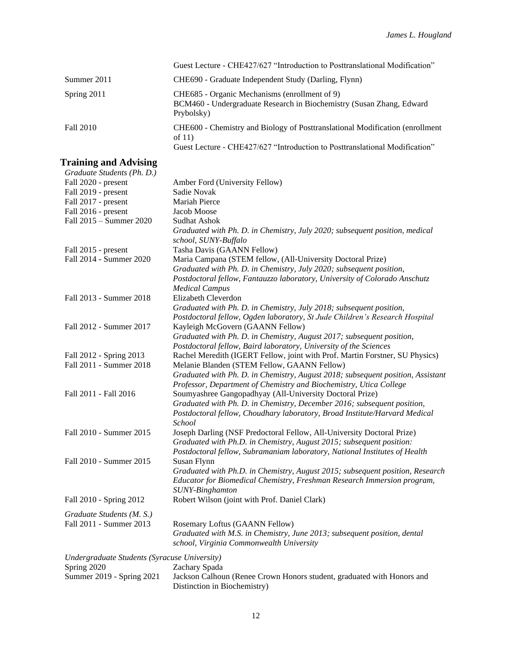|                  | Guest Lecture - CHE427/627 "Introduction to Posttranslational Modification"                                                                                     |
|------------------|-----------------------------------------------------------------------------------------------------------------------------------------------------------------|
| Summer 2011      | CHE690 - Graduate Independent Study (Darling, Flynn)                                                                                                            |
| Spring 2011      | CHE685 - Organic Mechanisms (enrollment of 9)<br>BCM460 - Undergraduate Research in Biochemistry (Susan Zhang, Edward<br>Prybolsky)                             |
| <b>Fall 2010</b> | CHE600 - Chemistry and Biology of Posttranslational Modification (enrollment<br>of $11)$<br>$\alpha$ if a curricordinal to $\alpha$ in the $\alpha$ in $\alpha$ |

Guest Lecture - CHE427/627 "Introduction to Posttranslational Modification"

# **Training and Advising**

| Graduate Students (Ph. D.)                   |                                                                                 |
|----------------------------------------------|---------------------------------------------------------------------------------|
| Fall 2020 - present                          | Amber Ford (University Fellow)                                                  |
| Fall 2019 - present                          | Sadie Novak                                                                     |
| Fall 2017 - present                          | Mariah Pierce                                                                   |
| Fall 2016 - present                          | Jacob Moose                                                                     |
| Fall 2015 - Summer 2020                      | <b>Sudhat Ashok</b>                                                             |
|                                              | Graduated with Ph. D. in Chemistry, July 2020; subsequent position, medical     |
|                                              | school, SUNY-Buffalo                                                            |
| Fall 2015 - present                          | Tasha Davis (GAANN Fellow)                                                      |
| Fall 2014 - Summer 2020                      | Maria Campana (STEM fellow, (All-University Doctoral Prize)                     |
|                                              | Graduated with Ph. D. in Chemistry, July 2020; subsequent position,             |
|                                              | Postdoctoral fellow, Fantauzzo laboratory, University of Colorado Anschutz      |
|                                              | <b>Medical Campus</b>                                                           |
| Fall 2013 - Summer 2018                      | Elizabeth Cleverdon                                                             |
|                                              | Graduated with Ph. D. in Chemistry, July 2018; subsequent position,             |
|                                              | Postdoctoral fellow, Ogden laboratory, St Jude Children's Research Hospital     |
| Fall 2012 - Summer 2017                      | Kayleigh McGovern (GAANN Fellow)                                                |
|                                              | Graduated with Ph. D. in Chemistry, August 2017; subsequent position,           |
|                                              | Postdoctoral fellow, Baird laboratory, University of the Sciences               |
| Fall 2012 - Spring 2013                      | Rachel Meredith (IGERT Fellow, joint with Prof. Martin Forstner, SU Physics)    |
| Fall 2011 - Summer 2018                      | Melanie Blanden (STEM Fellow, GAANN Fellow)                                     |
|                                              | Graduated with Ph. D. in Chemistry, August 2018; subsequent position, Assistant |
|                                              | Professor, Department of Chemistry and Biochemistry, Utica College              |
| Fall 2011 - Fall 2016                        | Soumyashree Gangopadhyay (All-University Doctoral Prize)                        |
|                                              | Graduated with Ph. D. in Chemistry, December 2016; subsequent position,         |
|                                              | Postdoctoral fellow, Choudhary laboratory, Broad Institute/Harvard Medical      |
|                                              | School                                                                          |
| Fall 2010 - Summer 2015                      | Joseph Darling (NSF Predoctoral Fellow, All-University Doctoral Prize)          |
|                                              | Graduated with Ph.D. in Chemistry, August 2015; subsequent position:            |
|                                              | Postdoctoral fellow, Subramaniam laboratory, National Institutes of Health      |
| Fall 2010 - Summer 2015                      | Susan Flynn                                                                     |
|                                              | Graduated with Ph.D. in Chemistry, August 2015; subsequent position, Research   |
|                                              | Educator for Biomedical Chemistry, Freshman Research Immersion program,         |
|                                              | SUNY-Binghamton                                                                 |
| Fall 2010 - Spring 2012                      | Robert Wilson (joint with Prof. Daniel Clark)                                   |
|                                              |                                                                                 |
| Graduate Students (M. S.)                    |                                                                                 |
| Fall 2011 - Summer 2013                      | Rosemary Loftus (GAANN Fellow)                                                  |
|                                              | Graduated with M.S. in Chemistry, June 2013; subsequent position, dental        |
|                                              | school, Virginia Commonwealth University                                        |
| Undergraduate Students (Syracuse University) |                                                                                 |
| Spring 2020                                  | Zachary Spada                                                                   |
| Summer 2019 - Spring 2021                    | Jackson Calhoun (Renee Crown Honors student, graduated with Honors and          |
|                                              | Distinction in Biochemistry)                                                    |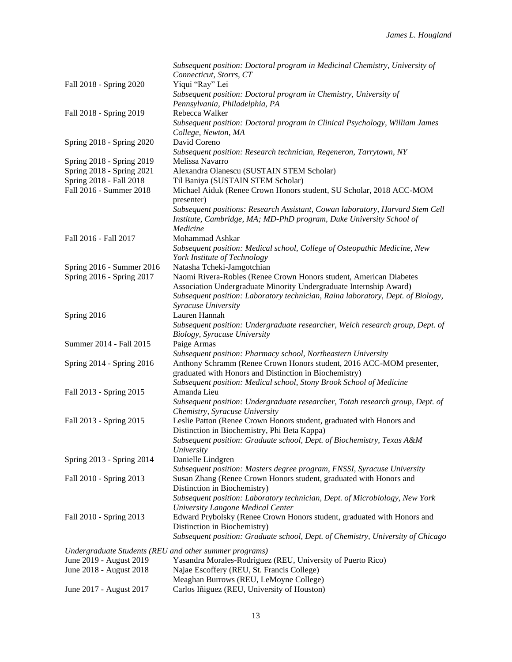|                                                        | Subsequent position: Doctoral program in Medicinal Chemistry, University of       |
|--------------------------------------------------------|-----------------------------------------------------------------------------------|
|                                                        | Connecticut, Storrs, CT                                                           |
| Fall 2018 - Spring 2020                                | Yiqui "Ray" Lei                                                                   |
|                                                        | Subsequent position: Doctoral program in Chemistry, University of                 |
|                                                        | Pennsylvania, Philadelphia, PA                                                    |
| Fall 2018 - Spring 2019                                | Rebecca Walker                                                                    |
|                                                        | Subsequent position: Doctoral program in Clinical Psychology, William James       |
|                                                        | College, Newton, MA                                                               |
| Spring 2018 - Spring 2020                              | David Coreno                                                                      |
|                                                        |                                                                                   |
|                                                        | Subsequent position: Research technician, Regeneron, Tarrytown, NY                |
| Spring 2018 - Spring 2019                              | Melissa Navarro                                                                   |
| Spring 2018 - Spring 2021                              | Alexandra Olanescu (SUSTAIN STEM Scholar)                                         |
| Spring 2018 - Fall 2018                                | Til Baniya (SUSTAIN STEM Scholar)                                                 |
| Fall 2016 - Summer 2018                                | Michael Aiduk (Renee Crown Honors student, SU Scholar, 2018 ACC-MOM<br>presenter) |
|                                                        | Subsequent positions: Research Assistant, Cowan laboratory, Harvard Stem Cell     |
|                                                        | Institute, Cambridge, MA; MD-PhD program, Duke University School of               |
|                                                        | Medicine                                                                          |
| Fall 2016 - Fall 2017                                  | Mohammad Ashkar                                                                   |
|                                                        | Subsequent position: Medical school, College of Osteopathic Medicine, New         |
|                                                        | York Institute of Technology                                                      |
| Spring 2016 - Summer 2016                              | Natasha Tcheki-Jamgotchian                                                        |
| Spring 2016 - Spring 2017                              | Naomi Rivera-Robles (Renee Crown Honors student, American Diabetes                |
|                                                        | Association Undergraduate Minority Undergraduate Internship Award)                |
|                                                        | Subsequent position: Laboratory technician, Raina laboratory, Dept. of Biology,   |
|                                                        | Syracuse University                                                               |
|                                                        | Lauren Hannah                                                                     |
| Spring 2016                                            |                                                                                   |
|                                                        | Subsequent position: Undergraduate researcher, Welch research group, Dept. of     |
|                                                        | Biology, Syracuse University                                                      |
| Summer 2014 - Fall 2015                                | Paige Armas                                                                       |
|                                                        | Subsequent position: Pharmacy school, Northeastern University                     |
| Spring 2014 - Spring 2016                              | Anthony Schramm (Renee Crown Honors student, 2016 ACC-MOM presenter,              |
|                                                        | graduated with Honors and Distinction in Biochemistry)                            |
|                                                        | Subsequent position: Medical school, Stony Brook School of Medicine               |
| Fall 2013 - Spring 2015                                | Amanda Lieu                                                                       |
|                                                        | Subsequent position: Undergraduate researcher, Totah research group, Dept. of     |
|                                                        | Chemistry, Syracuse University                                                    |
| Fall 2013 - Spring 2015                                | Leslie Patton (Renee Crown Honors student, graduated with Honors and              |
|                                                        | Distinction in Biochemistry, Phi Beta Kappa)                                      |
|                                                        | Subsequent position: Graduate school, Dept. of Biochemistry, Texas A&M            |
|                                                        | University                                                                        |
| Spring 2013 - Spring 2014                              | Danielle Lindgren                                                                 |
|                                                        | Subsequent position: Masters degree program, FNSSI, Syracuse University           |
| Fall 2010 - Spring 2013                                | Susan Zhang (Renee Crown Honors student, graduated with Honors and                |
|                                                        | Distinction in Biochemistry)                                                      |
|                                                        | Subsequent position: Laboratory technician, Dept. of Microbiology, New York       |
|                                                        | University Langone Medical Center                                                 |
| Fall 2010 - Spring 2013                                | Edward Prybolsky (Renee Crown Honors student, graduated with Honors and           |
|                                                        | Distinction in Biochemistry)                                                      |
|                                                        | Subsequent position: Graduate school, Dept. of Chemistry, University of Chicago   |
|                                                        |                                                                                   |
| Undergraduate Students (REU and other summer programs) |                                                                                   |
| June 2019 - August 2019                                | Yasandra Morales-Rodriguez (REU, University of Puerto Rico)                       |
| June 2018 - August 2018                                | Najae Escoffery (REU, St. Francis College)                                        |
|                                                        | Meaghan Burrows (REU, LeMoyne College)                                            |
| June 2017 - August 2017                                | Carlos Iñiguez (REU, University of Houston)                                       |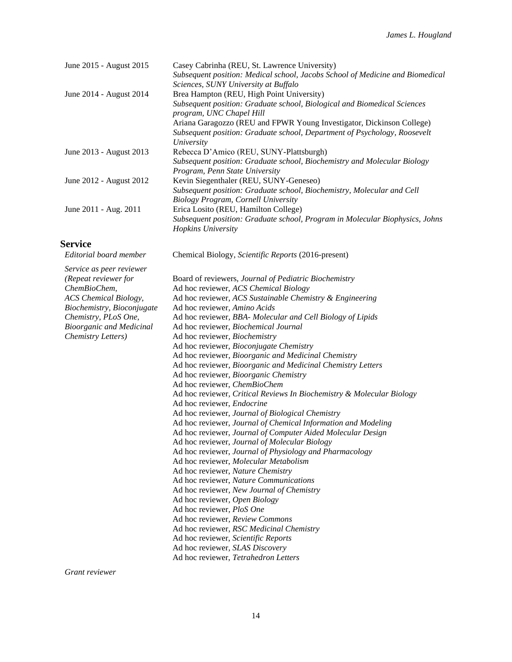| Subsequent position: Medical school, Jacobs School of Medicine and Biomedical |
|-------------------------------------------------------------------------------|
|                                                                               |
|                                                                               |
|                                                                               |
| Subsequent position: Graduate school, Biological and Biomedical Sciences      |
| Ariana Garagozzo (REU and FPWR Young Investigator, Dickinson College)         |
| Subsequent position: Graduate school, Department of Psychology, Roosevelt     |
|                                                                               |
| Subsequent position: Graduate school, Biochemistry and Molecular Biology      |
|                                                                               |
|                                                                               |
| Subsequent position: Graduate school, Program in Molecular Biophysics, Johns  |
| Subsequent position: Graduate school, Biochemistry, Molecular and Cell        |

# **Service**

| Service<br>Editorial board member | Chemical Biology, Scientific Reports (2016-present)                   |
|-----------------------------------|-----------------------------------------------------------------------|
|                                   |                                                                       |
| Service as peer reviewer          |                                                                       |
| (Repeat reviewer for              | Board of reviewers, Journal of Pediatric Biochemistry                 |
| ChemBioChem,                      | Ad hoc reviewer, ACS Chemical Biology                                 |
| <b>ACS</b> Chemical Biology,      | Ad hoc reviewer, ACS Sustainable Chemistry & Engineering              |
| Biochemistry, Bioconjugate        | Ad hoc reviewer, Amino Acids                                          |
| Chemistry, PLoS One,              | Ad hoc reviewer, BBA- Molecular and Cell Biology of Lipids            |
| <b>Bioorganic and Medicinal</b>   | Ad hoc reviewer, Biochemical Journal                                  |
| Chemistry Letters)                | Ad hoc reviewer, Biochemistry                                         |
|                                   | Ad hoc reviewer, Bioconjugate Chemistry                               |
|                                   | Ad hoc reviewer, Bioorganic and Medicinal Chemistry                   |
|                                   | Ad hoc reviewer, Bioorganic and Medicinal Chemistry Letters           |
|                                   | Ad hoc reviewer, Bioorganic Chemistry                                 |
|                                   | Ad hoc reviewer, ChemBioChem                                          |
|                                   | Ad hoc reviewer, Critical Reviews In Biochemistry & Molecular Biology |
|                                   | Ad hoc reviewer, <i>Endocrine</i>                                     |
|                                   | Ad hoc reviewer, Journal of Biological Chemistry                      |
|                                   | Ad hoc reviewer, Journal of Chemical Information and Modeling         |
|                                   | Ad hoc reviewer, Journal of Computer Aided Molecular Design           |
|                                   | Ad hoc reviewer, Journal of Molecular Biology                         |
|                                   | Ad hoc reviewer, Journal of Physiology and Pharmacology               |
|                                   | Ad hoc reviewer, Molecular Metabolism                                 |
|                                   | Ad hoc reviewer, Nature Chemistry                                     |
|                                   | Ad hoc reviewer, Nature Communications                                |
|                                   | Ad hoc reviewer, New Journal of Chemistry                             |
|                                   | Ad hoc reviewer, Open Biology                                         |
|                                   | Ad hoc reviewer, PloS One                                             |
|                                   | Ad hoc reviewer, Review Commons                                       |
|                                   | Ad hoc reviewer, RSC Medicinal Chemistry                              |
|                                   | Ad hoc reviewer, Scientific Reports                                   |
|                                   | Ad hoc reviewer, SLAS Discovery                                       |
|                                   | Ad hoc reviewer, Tetrahedron Letters                                  |
|                                   |                                                                       |

*Grant reviewer*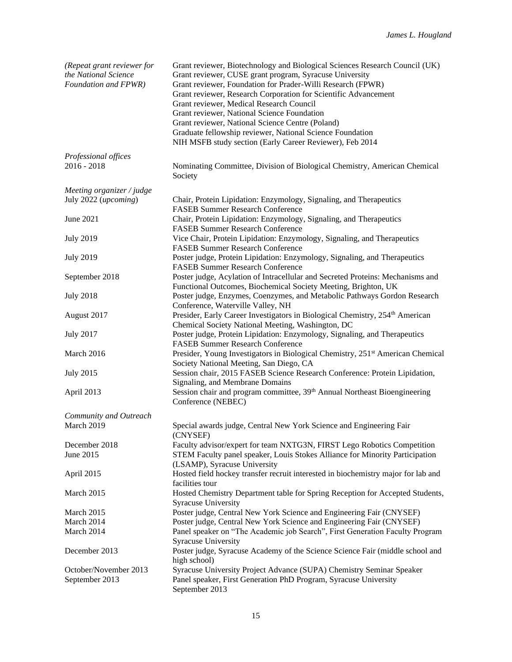| (Repeat grant reviewer for<br>the National Science<br>Foundation and FPWR) | Grant reviewer, Biotechnology and Biological Sciences Research Council (UK)<br>Grant reviewer, CUSE grant program, Syracuse University<br>Grant reviewer, Foundation for Prader-Willi Research (FPWR)<br>Grant reviewer, Research Corporation for Scientific Advancement<br>Grant reviewer, Medical Research Council<br>Grant reviewer, National Science Foundation<br>Grant reviewer, National Science Centre (Poland)<br>Graduate fellowship reviewer, National Science Foundation<br>NIH MSFB study section (Early Career Reviewer), Feb 2014 |
|----------------------------------------------------------------------------|--------------------------------------------------------------------------------------------------------------------------------------------------------------------------------------------------------------------------------------------------------------------------------------------------------------------------------------------------------------------------------------------------------------------------------------------------------------------------------------------------------------------------------------------------|
| Professional offices                                                       |                                                                                                                                                                                                                                                                                                                                                                                                                                                                                                                                                  |
| $2016 - 2018$                                                              | Nominating Committee, Division of Biological Chemistry, American Chemical<br>Society                                                                                                                                                                                                                                                                                                                                                                                                                                                             |
| Meeting organizer / judge                                                  |                                                                                                                                                                                                                                                                                                                                                                                                                                                                                                                                                  |
| July 2022 (upcoming)                                                       | Chair, Protein Lipidation: Enzymology, Signaling, and Therapeutics<br><b>FASEB Summer Research Conference</b>                                                                                                                                                                                                                                                                                                                                                                                                                                    |
| June 2021                                                                  | Chair, Protein Lipidation: Enzymology, Signaling, and Therapeutics<br><b>FASEB Summer Research Conference</b>                                                                                                                                                                                                                                                                                                                                                                                                                                    |
| <b>July 2019</b>                                                           | Vice Chair, Protein Lipidation: Enzymology, Signaling, and Therapeutics<br><b>FASEB Summer Research Conference</b>                                                                                                                                                                                                                                                                                                                                                                                                                               |
| <b>July 2019</b>                                                           | Poster judge, Protein Lipidation: Enzymology, Signaling, and Therapeutics<br><b>FASEB Summer Research Conference</b>                                                                                                                                                                                                                                                                                                                                                                                                                             |
| September 2018                                                             | Poster judge, Acylation of Intracellular and Secreted Proteins: Mechanisms and<br>Functional Outcomes, Biochemical Society Meeting, Brighton, UK                                                                                                                                                                                                                                                                                                                                                                                                 |
| <b>July 2018</b>                                                           | Poster judge, Enzymes, Coenzymes, and Metabolic Pathways Gordon Research<br>Conference, Waterville Valley, NH                                                                                                                                                                                                                                                                                                                                                                                                                                    |
| August 2017                                                                | Presider, Early Career Investigators in Biological Chemistry, 254 <sup>th</sup> American<br>Chemical Society National Meeting, Washington, DC                                                                                                                                                                                                                                                                                                                                                                                                    |
| <b>July 2017</b>                                                           | Poster judge, Protein Lipidation: Enzymology, Signaling, and Therapeutics<br><b>FASEB Summer Research Conference</b>                                                                                                                                                                                                                                                                                                                                                                                                                             |
| March 2016                                                                 | Presider, Young Investigators in Biological Chemistry, 251 <sup>st</sup> American Chemical<br>Society National Meeting, San Diego, CA                                                                                                                                                                                                                                                                                                                                                                                                            |
| <b>July 2015</b>                                                           | Session chair, 2015 FASEB Science Research Conference: Protein Lipidation,<br>Signaling, and Membrane Domains                                                                                                                                                                                                                                                                                                                                                                                                                                    |
| April 2013                                                                 | Session chair and program committee, 39 <sup>th</sup> Annual Northeast Bioengineering<br>Conference (NEBEC)                                                                                                                                                                                                                                                                                                                                                                                                                                      |
| Community and Outreach                                                     |                                                                                                                                                                                                                                                                                                                                                                                                                                                                                                                                                  |
| March 2019                                                                 | Special awards judge, Central New York Science and Engineering Fair<br>(CNYSEF)                                                                                                                                                                                                                                                                                                                                                                                                                                                                  |
| December 2018                                                              | Faculty advisor/expert for team NXTG3N, FIRST Lego Robotics Competition                                                                                                                                                                                                                                                                                                                                                                                                                                                                          |
| June 2015                                                                  | STEM Faculty panel speaker, Louis Stokes Alliance for Minority Participation<br>(LSAMP), Syracuse University                                                                                                                                                                                                                                                                                                                                                                                                                                     |
| April 2015                                                                 | Hosted field hockey transfer recruit interested in biochemistry major for lab and<br>facilities tour                                                                                                                                                                                                                                                                                                                                                                                                                                             |
| March 2015                                                                 | Hosted Chemistry Department table for Spring Reception for Accepted Students,<br><b>Syracuse University</b>                                                                                                                                                                                                                                                                                                                                                                                                                                      |
| March 2015                                                                 | Poster judge, Central New York Science and Engineering Fair (CNYSEF)                                                                                                                                                                                                                                                                                                                                                                                                                                                                             |
| March 2014                                                                 | Poster judge, Central New York Science and Engineering Fair (CNYSEF)                                                                                                                                                                                                                                                                                                                                                                                                                                                                             |
| March 2014                                                                 | Panel speaker on "The Academic job Search", First Generation Faculty Program<br><b>Syracuse University</b>                                                                                                                                                                                                                                                                                                                                                                                                                                       |
| December 2013                                                              | Poster judge, Syracuse Academy of the Science Science Fair (middle school and<br>high school)                                                                                                                                                                                                                                                                                                                                                                                                                                                    |
| October/November 2013                                                      | Syracuse University Project Advance (SUPA) Chemistry Seminar Speaker                                                                                                                                                                                                                                                                                                                                                                                                                                                                             |
| September 2013                                                             | Panel speaker, First Generation PhD Program, Syracuse University<br>September 2013                                                                                                                                                                                                                                                                                                                                                                                                                                                               |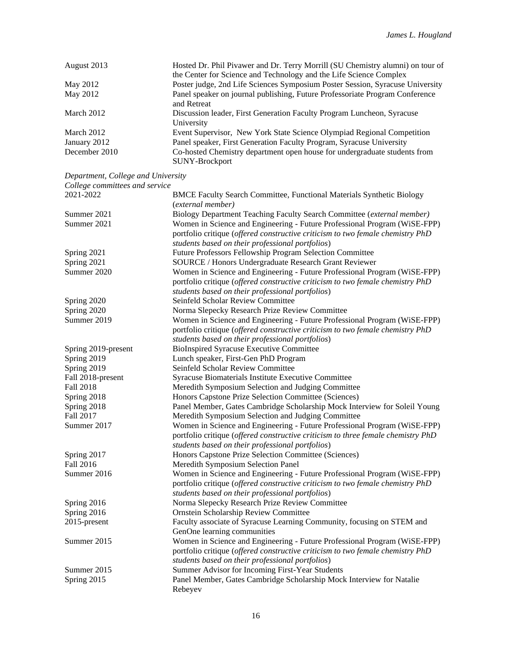| Hosted Dr. Phil Pivawer and Dr. Terry Morrill (SU Chemistry alumni) on tour of                     |
|----------------------------------------------------------------------------------------------------|
| the Center for Science and Technology and the Life Science Complex                                 |
| Poster judge, 2nd Life Sciences Symposium Poster Session, Syracuse University                      |
| Panel speaker on journal publishing, Future Professoriate Program Conference<br>and Retreat        |
| Discussion leader, First Generation Faculty Program Luncheon, Syracuse<br>University               |
| Event Supervisor, New York State Science Olympiad Regional Competition                             |
| Panel speaker, First Generation Faculty Program, Syracuse University                               |
| Co-hosted Chemistry department open house for undergraduate students from<br><b>SUNY-Brockport</b> |
|                                                                                                    |

*Department, College and University*

| College committees and service |                                                                                  |
|--------------------------------|----------------------------------------------------------------------------------|
| 2021-2022                      | BMCE Faculty Search Committee, Functional Materials Synthetic Biology            |
|                                | (external member)                                                                |
| Summer 2021                    | Biology Department Teaching Faculty Search Committee (external member)           |
| Summer 2021                    | Women in Science and Engineering - Future Professional Program (WiSE-FPP)        |
|                                | portfolio critique (offered constructive criticism to two female chemistry PhD   |
|                                | students based on their professional portfolios)                                 |
| Spring 2021                    | Future Professors Fellowship Program Selection Committee                         |
| Spring 2021                    | SOURCE / Honors Undergraduate Research Grant Reviewer                            |
| Summer 2020                    | Women in Science and Engineering - Future Professional Program (WiSE-FPP)        |
|                                | portfolio critique (offered constructive criticism to two female chemistry PhD   |
|                                | students based on their professional portfolios)                                 |
| Spring 2020                    | Seinfeld Scholar Review Committee                                                |
| Spring 2020                    | Norma Slepecky Research Prize Review Committee                                   |
| Summer 2019                    | Women in Science and Engineering - Future Professional Program (WiSE-FPP)        |
|                                | portfolio critique (offered constructive criticism to two female chemistry PhD   |
|                                | students based on their professional portfolios)                                 |
| Spring 2019-present            | <b>BioInspired Syracuse Executive Committee</b>                                  |
| Spring 2019                    | Lunch speaker, First-Gen PhD Program                                             |
| Spring 2019                    | Seinfeld Scholar Review Committee                                                |
| Fall 2018-present              | Syracuse Biomaterials Institute Executive Committee                              |
| Fall 2018                      | Meredith Symposium Selection and Judging Committee                               |
| Spring 2018                    | Honors Capstone Prize Selection Committee (Sciences)                             |
| Spring 2018                    | Panel Member, Gates Cambridge Scholarship Mock Interview for Soleil Young        |
| Fall 2017                      | Meredith Symposium Selection and Judging Committee                               |
| Summer 2017                    | Women in Science and Engineering - Future Professional Program (WiSE-FPP)        |
|                                | portfolio critique (offered constructive criticism to three female chemistry PhD |
|                                | students based on their professional portfolios)                                 |
| Spring 2017                    | Honors Capstone Prize Selection Committee (Sciences)                             |
| Fall 2016                      | Meredith Symposium Selection Panel                                               |
| Summer 2016                    | Women in Science and Engineering - Future Professional Program (WiSE-FPP)        |
|                                | portfolio critique (offered constructive criticism to two female chemistry PhD   |
|                                | students based on their professional portfolios)                                 |
| Spring 2016                    | Norma Slepecky Research Prize Review Committee                                   |
| Spring 2016                    | Ornstein Scholarship Review Committee                                            |
| 2015-present                   | Faculty associate of Syracuse Learning Community, focusing on STEM and           |
|                                | GenOne learning communities                                                      |
| Summer 2015                    | Women in Science and Engineering - Future Professional Program (WiSE-FPP)        |
|                                | portfolio critique (offered constructive criticism to two female chemistry PhD   |
|                                | students based on their professional portfolios)                                 |
| Summer 2015                    | Summer Advisor for Incoming First-Year Students                                  |
| Spring 2015                    | Panel Member, Gates Cambridge Scholarship Mock Interview for Natalie             |
|                                | Rebeyev                                                                          |
|                                |                                                                                  |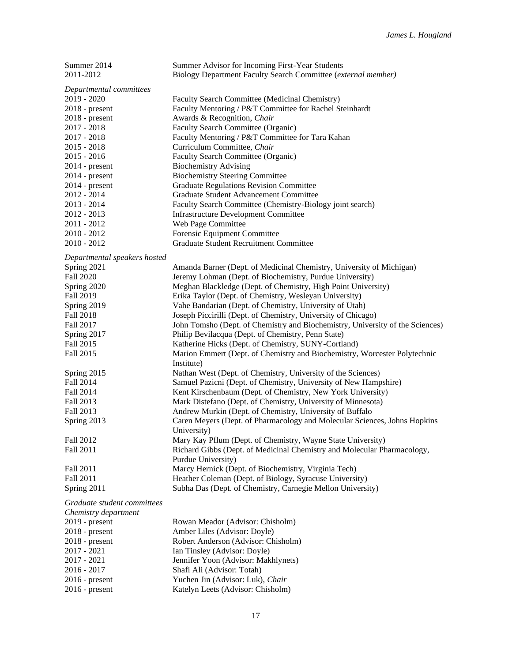| Summer 2014                     | Summer Advisor for Incoming First-Year Students                               |
|---------------------------------|-------------------------------------------------------------------------------|
| 2011-2012                       | Biology Department Faculty Search Committee (external member)                 |
| Departmental committees         |                                                                               |
| 2019 - 2020                     | Faculty Search Committee (Medicinal Chemistry)                                |
| $2018$ - present                | Faculty Mentoring / P&T Committee for Rachel Steinhardt                       |
| $2018$ - present                | Awards & Recognition, Chair                                                   |
| $2017 - 2018$                   | Faculty Search Committee (Organic)                                            |
| $2017 - 2018$                   | Faculty Mentoring / P&T Committee for Tara Kahan                              |
| $2015 - 2018$                   | Curriculum Committee, Chair                                                   |
| $2015 - 2016$                   | Faculty Search Committee (Organic)                                            |
| $2014$ - present                | <b>Biochemistry Advising</b>                                                  |
| $2014$ - present                | <b>Biochemistry Steering Committee</b>                                        |
|                                 | <b>Graduate Regulations Revision Committee</b>                                |
| $2014$ - present<br>2012 - 2014 |                                                                               |
|                                 | Graduate Student Advancement Committee                                        |
| $2013 - 2014$                   | Faculty Search Committee (Chemistry-Biology joint search)                     |
| 2012 - 2013                     | <b>Infrastructure Development Committee</b>                                   |
| $2011 - 2012$                   | Web Page Committee                                                            |
| $2010 - 2012$                   | Forensic Equipment Committee                                                  |
| $2010 - 2012$                   | <b>Graduate Student Recruitment Committee</b>                                 |
| Departmental speakers hosted    |                                                                               |
| Spring 2021                     | Amanda Barner (Dept. of Medicinal Chemistry, University of Michigan)          |
| <b>Fall 2020</b>                | Jeremy Lohman (Dept. of Biochemistry, Purdue University)                      |
| Spring 2020                     | Meghan Blackledge (Dept. of Chemistry, High Point University)                 |
| Fall 2019                       | Erika Taylor (Dept. of Chemistry, Wesleyan University)                        |
| Spring 2019                     | Vahe Bandarian (Dept. of Chemistry, University of Utah)                       |
| <b>Fall 2018</b>                | Joseph Piccirilli (Dept. of Chemistry, University of Chicago)                 |
| Fall 2017                       | John Tomsho (Dept. of Chemistry and Biochemistry, University of the Sciences) |
| Spring 2017                     | Philip Bevilacqua (Dept. of Chemistry, Penn State)                            |
| Fall 2015                       | Katherine Hicks (Dept. of Chemistry, SUNY-Cortland)                           |
| Fall 2015                       | Marion Emmert (Dept. of Chemistry and Biochemistry, Worcester Polytechnic     |
|                                 | Institute)                                                                    |
| Spring 2015                     | Nathan West (Dept. of Chemistry, University of the Sciences)                  |
| Fall 2014                       | Samuel Pazicni (Dept. of Chemistry, University of New Hampshire)              |
| Fall 2014                       | Kent Kirschenbaum (Dept. of Chemistry, New York University)                   |
| Fall 2013                       | Mark Distefano (Dept. of Chemistry, University of Minnesota)                  |
| Fall 2013                       | Andrew Murkin (Dept. of Chemistry, University of Buffalo                      |
| Spring 2013                     | Caren Meyers (Dept. of Pharmacology and Molecular Sciences, Johns Hopkins     |
|                                 | University)                                                                   |
| Fall 2012                       | Mary Kay Pflum (Dept. of Chemistry, Wayne State University)                   |
| Fall 2011                       | Richard Gibbs (Dept. of Medicinal Chemistry and Molecular Pharmacology,       |
|                                 | Purdue University)                                                            |
| Fall 2011                       | Marcy Hernick (Dept. of Biochemistry, Virginia Tech)                          |
| Fall 2011                       | Heather Coleman (Dept. of Biology, Syracuse University)                       |
| Spring 2011                     | Subha Das (Dept. of Chemistry, Carnegie Mellon University)                    |
| Graduate student committees     |                                                                               |
| Chemistry department            |                                                                               |
| $2019$ - present                | Rowan Meador (Advisor: Chisholm)                                              |
| 301 O                           | $\lambda$                                                                     |

| $2012 - \mu \text{c}$ | ROWAII IVICADOI (AUVISOI, CHISHOIIII) |
|-----------------------|---------------------------------------|
| $2018$ - present      | Amber Liles (Advisor: Doyle)          |
| $2018$ - present      | Robert Anderson (Advisor: Chisholm)   |
| $2017 - 2021$         | Ian Tinsley (Advisor: Doyle)          |
| 2017 - 2021           | Jennifer Yoon (Advisor: Makhlynets)   |
| $2016 - 2017$         | Shafi Ali (Advisor: Totah)            |
| $2016$ - present      | Yuchen Jin (Advisor: Luk), Chair      |
| $2016$ - present      | Katelyn Leets (Advisor: Chisholm)     |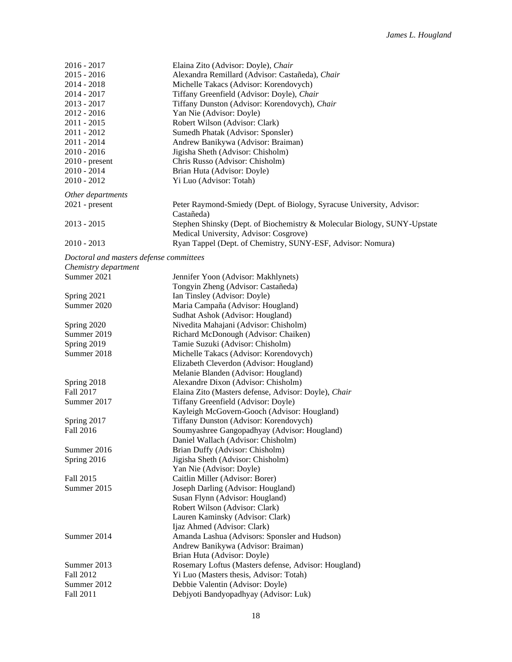| $2016 - 2017$                           | Elaina Zito (Advisor: Doyle), Chair                                      |
|-----------------------------------------|--------------------------------------------------------------------------|
| $2015 - 2016$                           | Alexandra Remillard (Advisor: Castañeda), Chair                          |
| 2014 - 2018                             | Michelle Takacs (Advisor: Korendovych)                                   |
| 2014 - 2017                             | Tiffany Greenfield (Advisor: Doyle), Chair                               |
| $2013 - 2017$                           | Tiffany Dunston (Advisor: Korendovych), Chair                            |
| $2012 - 2016$                           | Yan Nie (Advisor: Doyle)                                                 |
| 2011 - 2015                             | Robert Wilson (Advisor: Clark)                                           |
| $2011 - 2012$                           | Sumedh Phatak (Advisor: Sponsler)                                        |
| 2011 - 2014                             | Andrew Banikywa (Advisor: Braiman)                                       |
| $2010 - 2016$                           | Jigisha Sheth (Advisor: Chisholm)                                        |
| $2010$ - present                        | Chris Russo (Advisor: Chisholm)                                          |
| 2010 - 2014                             | Brian Huta (Advisor: Doyle)                                              |
| $2010 - 2012$                           | Yi Luo (Advisor: Totah)                                                  |
| Other departments                       |                                                                          |
| $2021$ - present                        | Peter Raymond-Smiedy (Dept. of Biology, Syracuse University, Advisor:    |
|                                         | Castañeda)                                                               |
| $2013 - 2015$                           | Stephen Shinsky (Dept. of Biochemistry & Molecular Biology, SUNY-Upstate |
|                                         | Medical University, Advisor: Cosgrove)                                   |
| $2010 - 2013$                           | Ryan Tappel (Dept. of Chemistry, SUNY-ESF, Advisor: Nomura)              |
|                                         |                                                                          |
| Doctoral and masters defense committees |                                                                          |
| Chemistry department<br>Summer 2021     |                                                                          |
|                                         | Jennifer Yoon (Advisor: Makhlynets)                                      |
|                                         | Tongyin Zheng (Advisor: Castañeda)                                       |
| Spring 2021                             | Ian Tinsley (Advisor: Doyle)                                             |
| Summer 2020                             | Maria Campaña (Advisor: Hougland)                                        |
|                                         | Sudhat Ashok (Advisor: Hougland)                                         |
| Spring 2020                             | Nivedita Mahajani (Advisor: Chisholm)                                    |
| Summer 2019                             | Richard McDonough (Advisor: Chaiken)                                     |
| Spring 2019                             | Tamie Suzuki (Advisor: Chisholm)                                         |
| Summer 2018                             | Michelle Takacs (Advisor: Korendovych)                                   |
|                                         | Elizabeth Cleverdon (Advisor: Hougland)                                  |
|                                         | Melanie Blanden (Advisor: Hougland)                                      |
| Spring 2018                             | Alexandre Dixon (Advisor: Chisholm)                                      |
| Fall 2017                               | Elaina Zito (Masters defense, Advisor: Doyle), Chair                     |
| Summer 2017                             | Tiffany Greenfield (Advisor: Doyle)                                      |
|                                         | Kayleigh McGovern-Gooch (Advisor: Hougland)                              |
| Spring 2017                             | Tiffany Dunston (Advisor: Korendovych)                                   |
| Fall 2016                               | Soumyashree Gangopadhyay (Advisor: Hougland)                             |
|                                         | Daniel Wallach (Advisor: Chisholm)                                       |
| Summer 2016                             | Brian Duffy (Advisor: Chisholm)                                          |
| Spring 2016                             | Jigisha Sheth (Advisor: Chisholm)                                        |
|                                         | Yan Nie (Advisor: Doyle)                                                 |
| Fall 2015                               | Caitlin Miller (Advisor: Borer)                                          |
| Summer 2015                             | Joseph Darling (Advisor: Hougland)                                       |
|                                         | Susan Flynn (Advisor: Hougland)                                          |
|                                         | Robert Wilson (Advisor: Clark)                                           |
|                                         | Lauren Kaminsky (Advisor: Clark)                                         |
|                                         | Ijaz Ahmed (Advisor: Clark)                                              |
| Summer 2014                             | Amanda Lashua (Advisors: Sponsler and Hudson)                            |
|                                         | Andrew Banikywa (Advisor: Braiman)                                       |
|                                         | Brian Huta (Advisor: Doyle)                                              |
| Summer 2013                             | Rosemary Loftus (Masters defense, Advisor: Hougland)                     |
| Fall 2012                               | Yi Luo (Masters thesis, Advisor: Totah)                                  |
| Summer 2012                             | Debbie Valentin (Advisor: Doyle)                                         |
| Fall 2011                               | Debjyoti Bandyopadhyay (Advisor: Luk)                                    |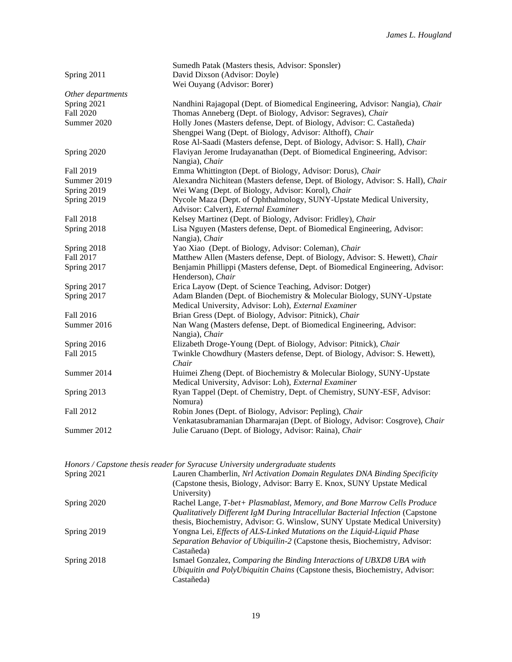|                   | Sumedh Patak (Masters thesis, Advisor: Sponsler)                                 |
|-------------------|----------------------------------------------------------------------------------|
| Spring 2011       | David Dixson (Advisor: Doyle)                                                    |
|                   | Wei Ouyang (Advisor: Borer)                                                      |
| Other departments |                                                                                  |
| Spring 2021       | Nandhini Rajagopal (Dept. of Biomedical Engineering, Advisor: Nangia), Chair     |
| Fall 2020         | Thomas Anneberg (Dept. of Biology, Advisor: Segraves), Chair                     |
| Summer 2020       | Holly Jones (Masters defense, Dept. of Biology, Advisor: C. Castañeda)           |
|                   | Shengpei Wang (Dept. of Biology, Advisor: Althoff), Chair                        |
|                   | Rose Al-Saadi (Masters defense, Dept. of Biology, Advisor: S. Hall), Chair       |
| Spring 2020       | Flaviyan Jerome Irudayanathan (Dept. of Biomedical Engineering, Advisor:         |
|                   | Nangia), Chair                                                                   |
| Fall 2019         | Emma Whittington (Dept. of Biology, Advisor: Dorus), Chair                       |
| Summer 2019       | Alexandra Nichitean (Masters defense, Dept. of Biology, Advisor: S. Hall), Chair |
| Spring 2019       | Wei Wang (Dept. of Biology, Advisor: Korol), Chair                               |
| Spring 2019       | Nycole Maza (Dept. of Ophthalmology, SUNY-Upstate Medical University,            |
|                   | Advisor: Calvert), External Examiner                                             |
| <b>Fall 2018</b>  | Kelsey Martinez (Dept. of Biology, Advisor: Fridley), Chair                      |
| Spring 2018       | Lisa Nguyen (Masters defense, Dept. of Biomedical Engineering, Advisor:          |
|                   | Nangia), Chair                                                                   |
| Spring 2018       | Yao Xiao (Dept. of Biology, Advisor: Coleman), Chair                             |
| Fall 2017         | Matthew Allen (Masters defense, Dept. of Biology, Advisor: S. Hewett), Chair     |
| Spring 2017       | Benjamin Phillippi (Masters defense, Dept. of Biomedical Engineering, Advisor:   |
|                   | Henderson), Chair                                                                |
| Spring 2017       | Erica Layow (Dept. of Science Teaching, Advisor: Dotger)                         |
| Spring 2017       | Adam Blanden (Dept. of Biochemistry & Molecular Biology, SUNY-Upstate            |
|                   | Medical University, Advisor: Loh), External Examiner                             |
| Fall 2016         | Brian Gress (Dept. of Biology, Advisor: Pitnick), Chair                          |
| Summer 2016       | Nan Wang (Masters defense, Dept. of Biomedical Engineering, Advisor:             |
|                   | Nangia), Chair                                                                   |
| Spring 2016       | Elizabeth Droge-Young (Dept. of Biology, Advisor: Pitnick), Chair                |
| Fall 2015         | Twinkle Chowdhury (Masters defense, Dept. of Biology, Advisor: S. Hewett),       |
|                   | Chair                                                                            |
| Summer 2014       | Huimei Zheng (Dept. of Biochemistry & Molecular Biology, SUNY-Upstate            |
|                   | Medical University, Advisor: Loh), External Examiner                             |
| Spring 2013       | Ryan Tappel (Dept. of Chemistry, Dept. of Chemistry, SUNY-ESF, Advisor:          |
|                   | Nomura)                                                                          |
| Fall 2012         | Robin Jones (Dept. of Biology, Advisor: Pepling), Chair                          |
|                   | Venkatasubramanian Dharmarajan (Dept. of Biology, Advisor: Cosgrove), Chair      |
| Summer 2012       | Julie Caruano (Dept. of Biology, Advisor: Raina), Chair                          |
|                   |                                                                                  |

*Honors / Capstone thesis reader for Syracuse University undergraduate students*

| Spring 2021 | Lauren Chamberlin, Nrl Activation Domain Regulates DNA Binding Specificity     |
|-------------|--------------------------------------------------------------------------------|
|             | (Capstone thesis, Biology, Advisor: Barry E. Knox, SUNY Upstate Medical        |
|             | University)                                                                    |
| Spring 2020 | Rachel Lange, T-bet+ Plasmablast, Memory, and Bone Marrow Cells Produce        |
|             | Qualitatively Different IgM During Intracellular Bacterial Infection (Capstone |
|             | thesis, Biochemistry, Advisor: G. Winslow, SUNY Upstate Medical University)    |
| Spring 2019 | Yongna Lei, Effects of ALS-Linked Mutations on the Liquid-Liquid Phase         |
|             | Separation Behavior of Ubiquilin-2 (Capstone thesis, Biochemistry, Advisor:    |
|             | Castañeda)                                                                     |
| Spring 2018 | Ismael Gonzalez, Comparing the Binding Interactions of UBXD8 UBA with          |
|             | Ubiquitin and PolyUbiquitin Chains (Capstone thesis, Biochemistry, Advisor:    |
|             | Castañeda)                                                                     |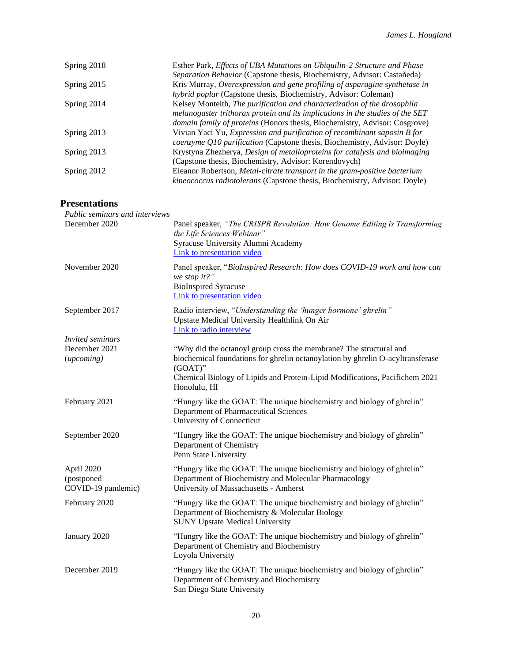| Spring 2018 | Esther Park, Effects of UBA Mutations on Ubiquilin-2 Structure and Phase      |
|-------------|-------------------------------------------------------------------------------|
|             | Separation Behavior (Capstone thesis, Biochemistry, Advisor: Castañeda)       |
| Spring 2015 | Kris Murray, Overexpression and gene profiling of asparagine synthetase in    |
|             | hybrid poplar (Capstone thesis, Biochemistry, Advisor: Coleman)               |
| Spring 2014 | Kelsey Monteith, The purification and characterization of the drosophila      |
|             | melanogaster trithorax protein and its implications in the studies of the SET |
|             | domain family of proteins (Honors thesis, Biochemistry, Advisor: Cosgrove)    |
| Spring 2013 | Vivian Yaci Yu, Expression and purification of recombinant saposin B for      |
|             | coenzyme Q10 purification (Capstone thesis, Biochemistry, Advisor: Doyle)     |
| Spring 2013 | Krystyna Zhezherya, Design of metalloproteins for catalysis and bioimaging    |
|             | (Capstone thesis, Biochemistry, Advisor: Korendovych)                         |
| Spring 2012 | Eleanor Robertson, Metal-citrate transport in the gram-positive bacterium     |
|             | kineococcus radiotolerans (Capstone thesis, Biochemistry, Advisor: Doyle)     |

# **Presentations**

| Public seminars and interviews                   |                                                                                                                                                                             |
|--------------------------------------------------|-----------------------------------------------------------------------------------------------------------------------------------------------------------------------------|
| December 2020                                    | Panel speaker, "The CRISPR Revolution: How Genome Editing is Transforming<br>the Life Sciences Webinar"<br>Syracuse University Alumni Academy<br>Link to presentation video |
| November 2020                                    | Panel speaker, "BioInspired Research: How does COVID-19 work and how can<br>we stop it?"<br><b>BioInspired Syracuse</b><br>Link to presentation video                       |
| September 2017                                   | Radio interview, "Understanding the 'hunger hormone' ghrelin"<br>Upstate Medical University Healthlink On Air<br>Link to radio interview                                    |
| <i>Invited seminars</i>                          |                                                                                                                                                                             |
| December 2021<br>(upcoming)                      | "Why did the octanoyl group cross the membrane? The structural and<br>biochemical foundations for ghrelin octanoylation by ghrelin O-acyltransferase<br>$(GOAT)$ "          |
|                                                  | Chemical Biology of Lipids and Protein-Lipid Modifications, Pacifichem 2021<br>Honolulu, HI                                                                                 |
| February 2021                                    | "Hungry like the GOAT: The unique biochemistry and biology of ghrelin"<br>Department of Pharmaceutical Sciences<br>University of Connecticut                                |
| September 2020                                   | "Hungry like the GOAT: The unique biochemistry and biology of ghrelin"<br>Department of Chemistry<br>Penn State University                                                  |
| April 2020<br>(postponed -<br>COVID-19 pandemic) | "Hungry like the GOAT: The unique biochemistry and biology of ghrelin"<br>Department of Biochemistry and Molecular Pharmacology<br>University of Massachusetts - Amherst    |
| February 2020                                    | "Hungry like the GOAT: The unique biochemistry and biology of ghrelin"<br>Department of Biochemistry & Molecular Biology<br><b>SUNY Upstate Medical University</b>          |
| January 2020                                     | "Hungry like the GOAT: The unique biochemistry and biology of ghrelin"<br>Department of Chemistry and Biochemistry<br>Loyola University                                     |
| December 2019                                    | "Hungry like the GOAT: The unique biochemistry and biology of ghrelin"<br>Department of Chemistry and Biochemistry<br>San Diego State University                            |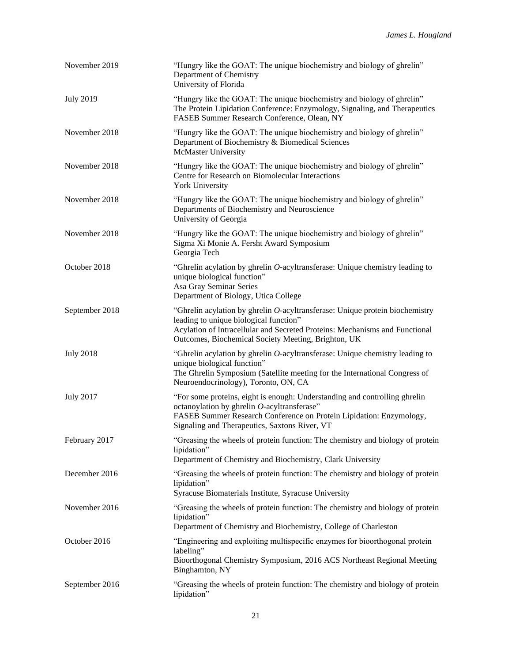| November 2019    | "Hungry like the GOAT: The unique biochemistry and biology of ghrelin"<br>Department of Chemistry<br>University of Florida                                                                                                                                      |
|------------------|-----------------------------------------------------------------------------------------------------------------------------------------------------------------------------------------------------------------------------------------------------------------|
| <b>July 2019</b> | "Hungry like the GOAT: The unique biochemistry and biology of ghrelin"<br>The Protein Lipidation Conference: Enzymology, Signaling, and Therapeutics<br>FASEB Summer Research Conference, Olean, NY                                                             |
| November 2018    | "Hungry like the GOAT: The unique biochemistry and biology of ghrelin"<br>Department of Biochemistry & Biomedical Sciences<br><b>McMaster University</b>                                                                                                        |
| November 2018    | "Hungry like the GOAT: The unique biochemistry and biology of ghrelin"<br>Centre for Research on Biomolecular Interactions<br>York University                                                                                                                   |
| November 2018    | "Hungry like the GOAT: The unique biochemistry and biology of ghrelin"<br>Departments of Biochemistry and Neuroscience<br>University of Georgia                                                                                                                 |
| November 2018    | "Hungry like the GOAT: The unique biochemistry and biology of ghrelin"<br>Sigma Xi Monie A. Fersht Award Symposium<br>Georgia Tech                                                                                                                              |
| October 2018     | "Ghrelin acylation by ghrelin $O$ -acyltransferase: Unique chemistry leading to<br>unique biological function"<br>Asa Gray Seminar Series<br>Department of Biology, Utica College                                                                               |
| September 2018   | "Ghrelin acylation by ghrelin $O$ -acyltransferase: Unique protein biochemistry<br>leading to unique biological function"<br>Acylation of Intracellular and Secreted Proteins: Mechanisms and Functional<br>Outcomes, Biochemical Society Meeting, Brighton, UK |
| <b>July 2018</b> | "Ghrelin acylation by ghrelin O-acyltransferase: Unique chemistry leading to<br>unique biological function"<br>The Ghrelin Symposium (Satellite meeting for the International Congress of<br>Neuroendocrinology), Toronto, ON, CA                               |
| <b>July 2017</b> | "For some proteins, eight is enough: Understanding and controlling ghrelin<br>octanoylation by ghrelin O-acyltransferase"<br>FASEB Summer Research Conference on Protein Lipidation: Enzymology,<br>Signaling and Therapeutics, Saxtons River, VT               |
| February 2017    | "Greasing the wheels of protein function: The chemistry and biology of protein<br>lipidation"<br>Department of Chemistry and Biochemistry, Clark University                                                                                                     |
| December 2016    | "Greasing the wheels of protein function: The chemistry and biology of protein<br>lipidation"<br>Syracuse Biomaterials Institute, Syracuse University                                                                                                           |
| November 2016    | "Greasing the wheels of protein function: The chemistry and biology of protein<br>lipidation"<br>Department of Chemistry and Biochemistry, College of Charleston                                                                                                |
| October 2016     | "Engineering and exploiting multispecific enzymes for bioorthogonal protein<br>labeling"<br>Bioorthogonal Chemistry Symposium, 2016 ACS Northeast Regional Meeting<br>Binghamton, NY                                                                            |
| September 2016   | "Greasing the wheels of protein function: The chemistry and biology of protein<br>lipidation"                                                                                                                                                                   |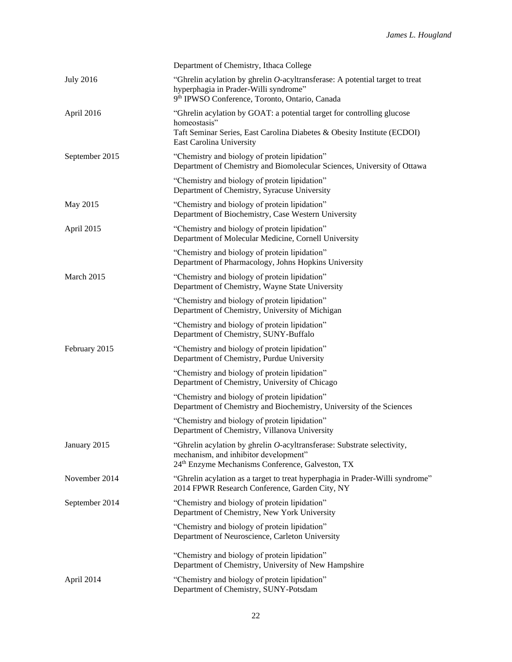|                  | Department of Chemistry, Ithaca College                                                                                                                                                       |
|------------------|-----------------------------------------------------------------------------------------------------------------------------------------------------------------------------------------------|
| <b>July 2016</b> | "Ghrelin acylation by ghrelin O-acyltransferase: A potential target to treat<br>hyperphagia in Prader-Willi syndrome"<br>9th IPWSO Conference, Toronto, Ontario, Canada                       |
| April 2016       | "Ghrelin acylation by GOAT: a potential target for controlling glucose<br>homeostasis"<br>Taft Seminar Series, East Carolina Diabetes & Obesity Institute (ECDOI)<br>East Carolina University |
| September 2015   | "Chemistry and biology of protein lipidation"<br>Department of Chemistry and Biomolecular Sciences, University of Ottawa                                                                      |
|                  | "Chemistry and biology of protein lipidation"<br>Department of Chemistry, Syracuse University                                                                                                 |
| May 2015         | "Chemistry and biology of protein lipidation"<br>Department of Biochemistry, Case Western University                                                                                          |
| April 2015       | "Chemistry and biology of protein lipidation"<br>Department of Molecular Medicine, Cornell University                                                                                         |
|                  | "Chemistry and biology of protein lipidation"<br>Department of Pharmacology, Johns Hopkins University                                                                                         |
| March 2015       | "Chemistry and biology of protein lipidation"<br>Department of Chemistry, Wayne State University                                                                                              |
|                  | "Chemistry and biology of protein lipidation"<br>Department of Chemistry, University of Michigan                                                                                              |
|                  | "Chemistry and biology of protein lipidation"<br>Department of Chemistry, SUNY-Buffalo                                                                                                        |
| February 2015    | "Chemistry and biology of protein lipidation"<br>Department of Chemistry, Purdue University                                                                                                   |
|                  | "Chemistry and biology of protein lipidation"<br>Department of Chemistry, University of Chicago                                                                                               |
|                  | "Chemistry and biology of protein lipidation"<br>Department of Chemistry and Biochemistry, University of the Sciences                                                                         |
|                  | "Chemistry and biology of protein lipidation"<br>Department of Chemistry, Villanova University                                                                                                |
| January 2015     | "Ghrelin acylation by ghrelin O-acyltransferase: Substrate selectivity,<br>mechanism, and inhibitor development"<br>24 <sup>th</sup> Enzyme Mechanisms Conference, Galveston, TX              |
| November 2014    | "Ghrelin acylation as a target to treat hyperphagia in Prader-Willi syndrome"<br>2014 FPWR Research Conference, Garden City, NY                                                               |
| September 2014   | "Chemistry and biology of protein lipidation"<br>Department of Chemistry, New York University                                                                                                 |
|                  | "Chemistry and biology of protein lipidation"<br>Department of Neuroscience, Carleton University                                                                                              |
|                  | "Chemistry and biology of protein lipidation"<br>Department of Chemistry, University of New Hampshire                                                                                         |
| April 2014       | "Chemistry and biology of protein lipidation"<br>Department of Chemistry, SUNY-Potsdam                                                                                                        |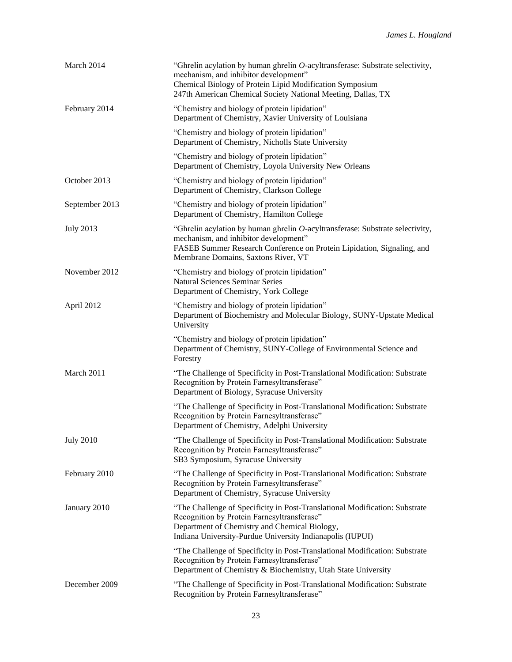| March 2014       | "Ghrelin acylation by human ghrelin $O$ -acyltransferase: Substrate selectivity,<br>mechanism, and inhibitor development"<br>Chemical Biology of Protein Lipid Modification Symposium<br>247th American Chemical Society National Meeting, Dallas, TX |
|------------------|-------------------------------------------------------------------------------------------------------------------------------------------------------------------------------------------------------------------------------------------------------|
| February 2014    | "Chemistry and biology of protein lipidation"<br>Department of Chemistry, Xavier University of Louisiana                                                                                                                                              |
|                  | "Chemistry and biology of protein lipidation"<br>Department of Chemistry, Nicholls State University                                                                                                                                                   |
|                  | "Chemistry and biology of protein lipidation"<br>Department of Chemistry, Loyola University New Orleans                                                                                                                                               |
| October 2013     | "Chemistry and biology of protein lipidation"<br>Department of Chemistry, Clarkson College                                                                                                                                                            |
| September 2013   | "Chemistry and biology of protein lipidation"<br>Department of Chemistry, Hamilton College                                                                                                                                                            |
| <b>July 2013</b> | "Ghrelin acylation by human ghrelin O-acyltransferase: Substrate selectivity,<br>mechanism, and inhibitor development"<br>FASEB Summer Research Conference on Protein Lipidation, Signaling, and<br>Membrane Domains, Saxtons River, VT               |
| November 2012    | "Chemistry and biology of protein lipidation"<br><b>Natural Sciences Seminar Series</b><br>Department of Chemistry, York College                                                                                                                      |
| April 2012       | "Chemistry and biology of protein lipidation"<br>Department of Biochemistry and Molecular Biology, SUNY-Upstate Medical<br>University                                                                                                                 |
|                  | "Chemistry and biology of protein lipidation"<br>Department of Chemistry, SUNY-College of Environmental Science and<br>Forestry                                                                                                                       |
| March 2011       | "The Challenge of Specificity in Post-Translational Modification: Substrate<br>Recognition by Protein Farnesyltransferase"<br>Department of Biology, Syracuse University                                                                              |
|                  | "The Challenge of Specificity in Post-Translational Modification: Substrate<br>Recognition by Protein Farnesyltransferase"<br>Department of Chemistry, Adelphi University                                                                             |
| <b>July 2010</b> | "The Challenge of Specificity in Post-Translational Modification: Substrate<br>Recognition by Protein Farnesyltransferase"<br>SB3 Symposium, Syracuse University                                                                                      |
| February 2010    | "The Challenge of Specificity in Post-Translational Modification: Substrate<br>Recognition by Protein Farnesyltransferase"<br>Department of Chemistry, Syracuse University                                                                            |
| January 2010     | "The Challenge of Specificity in Post-Translational Modification: Substrate<br>Recognition by Protein Farnesyltransferase"<br>Department of Chemistry and Chemical Biology,<br>Indiana University-Purdue University Indianapolis (IUPUI)              |
|                  | "The Challenge of Specificity in Post-Translational Modification: Substrate<br>Recognition by Protein Farnesyltransferase"<br>Department of Chemistry & Biochemistry, Utah State University                                                           |
| December 2009    | "The Challenge of Specificity in Post-Translational Modification: Substrate<br>Recognition by Protein Farnesyltransferase"                                                                                                                            |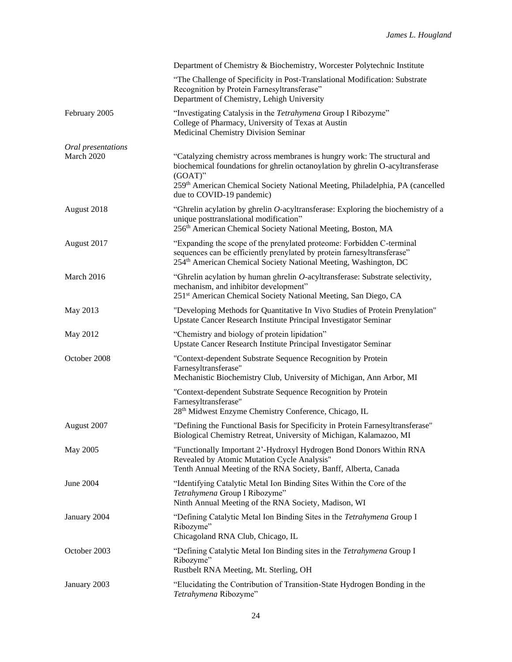|                    | Department of Chemistry & Biochemistry, Worcester Polytechnic Institute                                                                                                                                                                                                                 |
|--------------------|-----------------------------------------------------------------------------------------------------------------------------------------------------------------------------------------------------------------------------------------------------------------------------------------|
|                    | "The Challenge of Specificity in Post-Translational Modification: Substrate<br>Recognition by Protein Farnesyltransferase"<br>Department of Chemistry, Lehigh University                                                                                                                |
| February 2005      | "Investigating Catalysis in the Tetrahymena Group I Ribozyme"<br>College of Pharmacy, University of Texas at Austin<br>Medicinal Chemistry Division Seminar                                                                                                                             |
| Oral presentations |                                                                                                                                                                                                                                                                                         |
| March 2020         | "Catalyzing chemistry across membranes is hungry work: The structural and<br>biochemical foundations for ghrelin octanoylation by ghrelin O-acyltransferase<br>$(GOAT)$ "<br>259th American Chemical Society National Meeting, Philadelphia, PA (cancelled<br>due to COVID-19 pandemic) |
| August 2018        | "Ghrelin acylation by ghrelin $O$ -acyltransferase: Exploring the biochemistry of a<br>unique posttranslational modification"<br>256 <sup>th</sup> American Chemical Society National Meeting, Boston, MA                                                                               |
| August 2017        | "Expanding the scope of the prenylated proteome: Forbidden C-terminal<br>sequences can be efficiently prenylated by protein farnesyltransferase"<br>254 <sup>th</sup> American Chemical Society National Meeting, Washington, DC                                                        |
| March 2016         | "Ghrelin acylation by human ghrelin O-acyltransferase: Substrate selectivity,<br>mechanism, and inhibitor development"<br>251 <sup>st</sup> American Chemical Society National Meeting, San Diego, CA                                                                                   |
| May 2013           | "Developing Methods for Quantitative In Vivo Studies of Protein Prenylation"<br>Upstate Cancer Research Institute Principal Investigator Seminar                                                                                                                                        |
| May 2012           | "Chemistry and biology of protein lipidation"<br>Upstate Cancer Research Institute Principal Investigator Seminar                                                                                                                                                                       |
| October 2008       | "Context-dependent Substrate Sequence Recognition by Protein<br>Farnesyltransferase"<br>Mechanistic Biochemistry Club, University of Michigan, Ann Arbor, MI                                                                                                                            |
|                    | "Context-dependent Substrate Sequence Recognition by Protein<br>Farnesyltransferase"<br>28 <sup>th</sup> Midwest Enzyme Chemistry Conference, Chicago, IL                                                                                                                               |
| August 2007        | "Defining the Functional Basis for Specificity in Protein Farnesyltransferase"<br>Biological Chemistry Retreat, University of Michigan, Kalamazoo, MI                                                                                                                                   |
| May 2005           | "Functionally Important 2'-Hydroxyl Hydrogen Bond Donors Within RNA<br>Revealed by Atomic Mutation Cycle Analysis"<br>Tenth Annual Meeting of the RNA Society, Banff, Alberta, Canada                                                                                                   |
| June 2004          | "Identifying Catalytic Metal Ion Binding Sites Within the Core of the<br>Tetrahymena Group I Ribozyme"<br>Ninth Annual Meeting of the RNA Society, Madison, WI                                                                                                                          |
| January 2004       | "Defining Catalytic Metal Ion Binding Sites in the Tetrahymena Group I<br>Ribozyme"<br>Chicagoland RNA Club, Chicago, IL                                                                                                                                                                |
| October 2003       | "Defining Catalytic Metal Ion Binding sites in the Tetrahymena Group I<br>Ribozyme"<br>Rustbelt RNA Meeting, Mt. Sterling, OH                                                                                                                                                           |
| January 2003       | "Elucidating the Contribution of Transition-State Hydrogen Bonding in the<br>Tetrahymena Ribozyme"                                                                                                                                                                                      |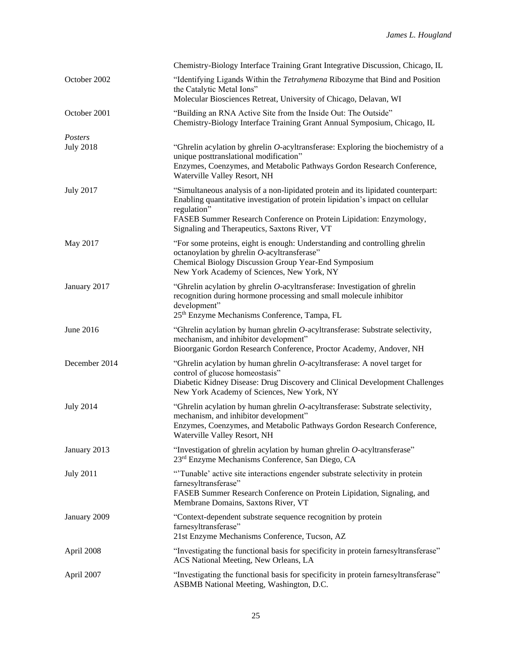|                             | Chemistry-Biology Interface Training Grant Integrative Discussion, Chicago, IL                                                                                                                                                                                                                            |
|-----------------------------|-----------------------------------------------------------------------------------------------------------------------------------------------------------------------------------------------------------------------------------------------------------------------------------------------------------|
| October 2002                | "Identifying Ligands Within the Tetrahymena Ribozyme that Bind and Position<br>the Catalytic Metal Ions"<br>Molecular Biosciences Retreat, University of Chicago, Delavan, WI                                                                                                                             |
| October 2001                | "Building an RNA Active Site from the Inside Out: The Outside"<br>Chemistry-Biology Interface Training Grant Annual Symposium, Chicago, IL                                                                                                                                                                |
| Posters<br><b>July 2018</b> | "Ghrelin acylation by ghrelin O-acyltransferase: Exploring the biochemistry of a<br>unique posttranslational modification"<br>Enzymes, Coenzymes, and Metabolic Pathways Gordon Research Conference,<br>Waterville Valley Resort, NH                                                                      |
| <b>July 2017</b>            | "Simultaneous analysis of a non-lipidated protein and its lipidated counterpart:<br>Enabling quantitative investigation of protein lipidation's impact on cellular<br>regulation"<br>FASEB Summer Research Conference on Protein Lipidation: Enzymology,<br>Signaling and Therapeutics, Saxtons River, VT |
| May 2017                    | "For some proteins, eight is enough: Understanding and controlling ghrelin<br>octanoylation by ghrelin O-acyltransferase"<br>Chemical Biology Discussion Group Year-End Symposium<br>New York Academy of Sciences, New York, NY                                                                           |
| January 2017                | "Ghrelin acylation by ghrelin O-acyltransferase: Investigation of ghrelin<br>recognition during hormone processing and small molecule inhibitor<br>development"<br>25 <sup>th</sup> Enzyme Mechanisms Conference, Tampa, FL                                                                               |
| June 2016                   | "Ghrelin acylation by human ghrelin O-acyltransferase: Substrate selectivity,<br>mechanism, and inhibitor development"<br>Bioorganic Gordon Research Conference, Proctor Academy, Andover, NH                                                                                                             |
| December 2014               | "Ghrelin acylation by human ghrelin $O$ -acyltransferase: A novel target for<br>control of glucose homeostasis"<br>Diabetic Kidney Disease: Drug Discovery and Clinical Development Challenges<br>New York Academy of Sciences, New York, NY                                                              |
| <b>July 2014</b>            | "Ghrelin acylation by human ghrelin O-acyltransferase: Substrate selectivity,<br>mechanism, and inhibitor development"<br>Enzymes, Coenzymes, and Metabolic Pathways Gordon Research Conference,<br>Waterville Valley Resort, NH                                                                          |
| January 2013                | "Investigation of ghrelin acylation by human ghrelin $O$ -acyltransferase"<br>23 <sup>rd</sup> Enzyme Mechanisms Conference, San Diego, CA                                                                                                                                                                |
| <b>July 2011</b>            | "Tunable' active site interactions engender substrate selectivity in protein<br>farnesyltransferase"<br>FASEB Summer Research Conference on Protein Lipidation, Signaling, and<br>Membrane Domains, Saxtons River, VT                                                                                     |
| January 2009                | "Context-dependent substrate sequence recognition by protein<br>farnesyltransferase"<br>21st Enzyme Mechanisms Conference, Tucson, AZ                                                                                                                                                                     |
| April 2008                  | "Investigating the functional basis for specificity in protein farnesyltransferase"<br>ACS National Meeting, New Orleans, LA                                                                                                                                                                              |
| April 2007                  | "Investigating the functional basis for specificity in protein farnesyltransferase"<br>ASBMB National Meeting, Washington, D.C.                                                                                                                                                                           |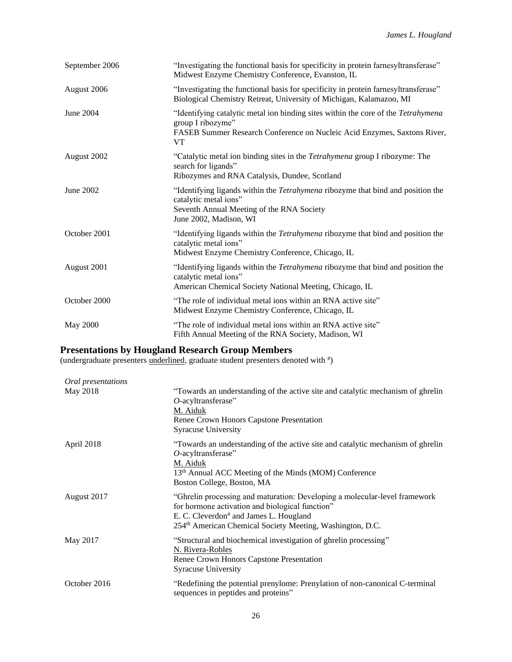| September 2006 | "Investigating the functional basis for specificity in protein farnesyltransferase"<br>Midwest Enzyme Chemistry Conference, Evanston, IL                                                        |
|----------------|-------------------------------------------------------------------------------------------------------------------------------------------------------------------------------------------------|
| August 2006    | "Investigating the functional basis for specificity in protein farnesyltransferase"<br>Biological Chemistry Retreat, University of Michigan, Kalamazoo, MI                                      |
| June 2004      | "Identifying catalytic metal ion binding sites within the core of the Tetrahymena<br>group I ribozyme"<br>FASEB Summer Research Conference on Nucleic Acid Enzymes, Saxtons River,<br><b>VT</b> |
| August 2002    | "Catalytic metal ion binding sites in the Tetrahymena group I ribozyme: The<br>search for ligands"<br>Ribozymes and RNA Catalysis, Dundee, Scotland                                             |
| June 2002      | "Identifying ligands within the <i>Tetrahymena</i> ribozyme that bind and position the<br>catalytic metal ions"<br>Seventh Annual Meeting of the RNA Society<br>June 2002, Madison, WI          |
| October 2001   | "Identifying ligands within the Tetrahymena ribozyme that bind and position the<br>catalytic metal ions"<br>Midwest Enzyme Chemistry Conference, Chicago, IL                                    |
| August 2001    | "Identifying ligands within the <i>Tetrahymena</i> ribozyme that bind and position the<br>catalytic metal ions"<br>American Chemical Society National Meeting, Chicago, IL                      |
| October 2000   | "The role of individual metal ions within an RNA active site"<br>Midwest Enzyme Chemistry Conference, Chicago, IL                                                                               |
| May 2000       | "The role of individual metal ions within an RNA active site"<br>Fifth Annual Meeting of the RNA Society, Madison, WI                                                                           |

# **Presentations by Hougland Research Group Members**

(undergraduate presenters **underlined**, graduate student presenters denoted with  $\ddot{\theta}$ )

| Oral presentations |                                                                                                                                                                                                                                                              |
|--------------------|--------------------------------------------------------------------------------------------------------------------------------------------------------------------------------------------------------------------------------------------------------------|
| May 2018           | "Towards an understanding of the active site and catalytic mechanism of ghrelin<br>$O$ -acyltransferase"                                                                                                                                                     |
|                    | M. Aiduk                                                                                                                                                                                                                                                     |
|                    | Renee Crown Honors Capstone Presentation                                                                                                                                                                                                                     |
|                    | <b>Syracuse University</b>                                                                                                                                                                                                                                   |
| April 2018         | "Towards an understanding of the active site and catalytic mechanism of ghrelin<br>$O$ -acyltransferase"<br>M. Aiduk                                                                                                                                         |
|                    | 13 <sup>th</sup> Annual ACC Meeting of the Minds (MOM) Conference<br>Boston College, Boston, MA                                                                                                                                                              |
| August 2017        | "Ghrelin processing and maturation: Developing a molecular-level framework<br>for hormone activation and biological function"<br>E. C. Cleverdon <sup>#</sup> and James L. Hougland<br>254 <sup>th</sup> American Chemical Society Meeting, Washington, D.C. |
| May 2017           | "Structural and biochemical investigation of ghrelin processing"<br>N. Rivera-Robles<br>Renee Crown Honors Capstone Presentation<br><b>Syracuse University</b>                                                                                               |
| October 2016       | "Redefining the potential prenylome: Prenylation of non-canonical C-terminal<br>sequences in peptides and proteins"                                                                                                                                          |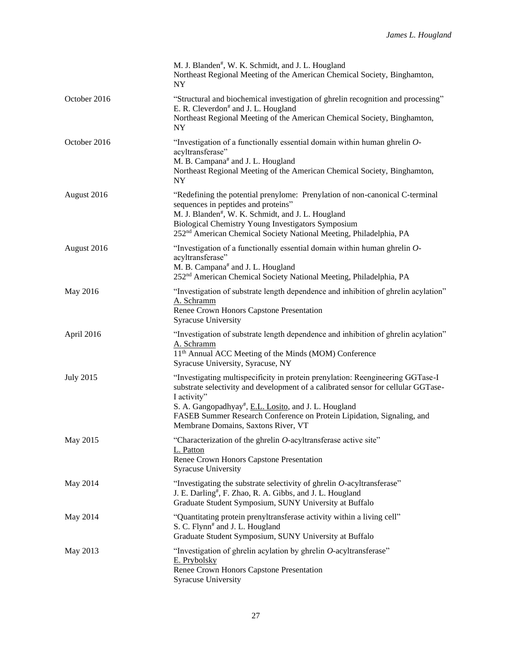|                  | M. J. Blanden#, W. K. Schmidt, and J. L. Hougland<br>Northeast Regional Meeting of the American Chemical Society, Binghamton,<br>NY                                                                                                                                                                                                                         |
|------------------|-------------------------------------------------------------------------------------------------------------------------------------------------------------------------------------------------------------------------------------------------------------------------------------------------------------------------------------------------------------|
| October 2016     | "Structural and biochemical investigation of ghrelin recognition and processing"<br>E. R. Cleverdon <sup>#</sup> and J. L. Hougland<br>Northeast Regional Meeting of the American Chemical Society, Binghamton,<br>NY.                                                                                                                                      |
| October 2016     | "Investigation of a functionally essential domain within human ghrelin O-<br>acyltransferase"<br>M. B. Campana <sup>#</sup> and J. L. Hougland<br>Northeast Regional Meeting of the American Chemical Society, Binghamton,<br><b>NY</b>                                                                                                                     |
| August 2016      | "Redefining the potential prenylome: Prenylation of non-canonical C-terminal<br>sequences in peptides and proteins"<br>M. J. Blanden#, W. K. Schmidt, and J. L. Hougland<br>Biological Chemistry Young Investigators Symposium<br>252 <sup>nd</sup> American Chemical Society National Meeting, Philadelphia, PA                                            |
| August 2016      | "Investigation of a functionally essential domain within human ghrelin O-<br>acyltransferase"<br>M. B. Campana# and J. L. Hougland<br>252 <sup>nd</sup> American Chemical Society National Meeting, Philadelphia, PA                                                                                                                                        |
| May 2016         | "Investigation of substrate length dependence and inhibition of ghrelin acylation"<br>A. Schramm<br>Renee Crown Honors Capstone Presentation<br><b>Syracuse University</b>                                                                                                                                                                                  |
| April 2016       | "Investigation of substrate length dependence and inhibition of ghrelin acylation"<br>A. Schramm<br>11 <sup>th</sup> Annual ACC Meeting of the Minds (MOM) Conference<br>Syracuse University, Syracuse, NY                                                                                                                                                  |
| <b>July 2015</b> | "Investigating multispecificity in protein prenylation: Reengineering GGTase-I<br>substrate selectivity and development of a calibrated sensor for cellular GGTase-<br>I activity"<br>S. A. Gangopadhyay#, E.L. Losito, and J. L. Hougland<br>FASEB Summer Research Conference on Protein Lipidation, Signaling, and<br>Membrane Domains, Saxtons River, VT |
| May 2015         | "Characterization of the ghrelin O-acyltransferase active site"<br>L. Patton<br>Renee Crown Honors Capstone Presentation<br><b>Syracuse University</b>                                                                                                                                                                                                      |
| May 2014         | "Investigating the substrate selectivity of ghrelin $O$ -acyltransferase"<br>J. E. Darling#, F. Zhao, R. A. Gibbs, and J. L. Hougland<br>Graduate Student Symposium, SUNY University at Buffalo                                                                                                                                                             |
| May 2014         | "Quantitating protein prenyltransferase activity within a living cell"<br>S. C. Flynn <sup>#</sup> and J. L. Hougland<br>Graduate Student Symposium, SUNY University at Buffalo                                                                                                                                                                             |
| May 2013         | "Investigation of ghrelin acylation by ghrelin O-acyltransferase"<br>E. Prybolsky<br>Renee Crown Honors Capstone Presentation<br><b>Syracuse University</b>                                                                                                                                                                                                 |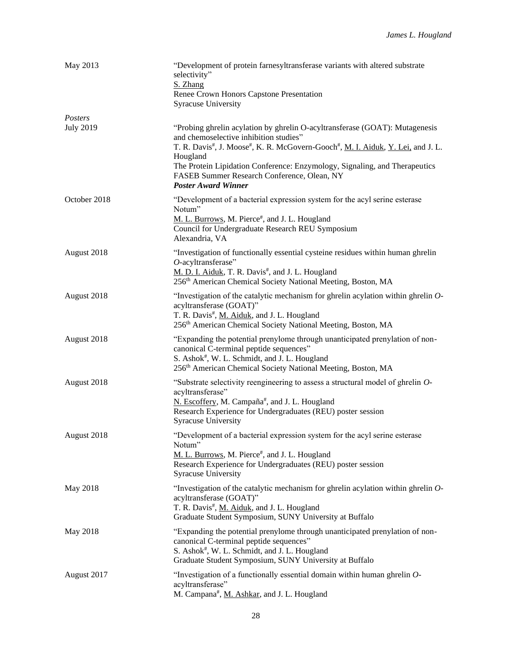| May 2013                    | "Development of protein farnesyltransferase variants with altered substrate<br>selectivity"<br>S. Zhang<br>Renee Crown Honors Capstone Presentation<br><b>Syracuse University</b>                                                                                                                                                                                              |
|-----------------------------|--------------------------------------------------------------------------------------------------------------------------------------------------------------------------------------------------------------------------------------------------------------------------------------------------------------------------------------------------------------------------------|
| Posters<br><b>July 2019</b> | "Probing ghrelin acylation by ghrelin O-acyltransferase (GOAT): Mutagenesis<br>and chemoselective inhibition studies"<br>T. R. Davis#, J. Moose#, K. R. McGovern-Gooch#, M. I. Aiduk, Y. Lei, and J. L.<br>Hougland<br>The Protein Lipidation Conference: Enzymology, Signaling, and Therapeutics<br>FASEB Summer Research Conference, Olean, NY<br><b>Poster Award Winner</b> |
| October 2018                | "Development of a bacterial expression system for the acyl serine esterase<br>Notum"<br>M. L. Burrows, M. Pierce#, and J. L. Hougland<br>Council for Undergraduate Research REU Symposium<br>Alexandria, VA                                                                                                                                                                    |
| August 2018                 | "Investigation of functionally essential cysteine residues within human ghrelin<br>$O$ -acyltransferase"<br>M. D. I. Aiduk, T. R. Davis#, and J. L. Hougland<br>256 <sup>th</sup> American Chemical Society National Meeting, Boston, MA                                                                                                                                       |
| August 2018                 | "Investigation of the catalytic mechanism for ghrelin acylation within ghrelin $O$ -<br>acyltransferase (GOAT)"<br>T. R. Davis#, M. Aiduk, and J. L. Hougland<br>256th American Chemical Society National Meeting, Boston, MA                                                                                                                                                  |
| August 2018                 | "Expanding the potential prenylome through unanticipated prenylation of non-<br>canonical C-terminal peptide sequences"<br>S. Ashok#, W. L. Schmidt, and J. L. Hougland<br>256th American Chemical Society National Meeting, Boston, MA                                                                                                                                        |
| August 2018                 | "Substrate selectivity reengineering to assess a structural model of ghrelin O-<br>acyltransferase"<br>N. Escoffery, M. Campaña#, and J. L. Hougland<br>Research Experience for Undergraduates (REU) poster session<br><b>Syracuse University</b>                                                                                                                              |
| August 2018                 | "Development of a bacterial expression system for the acyl serine esterase<br>Notum"<br>M. L. Burrows, M. Pierce#, and J. L. Hougland<br>Research Experience for Undergraduates (REU) poster session<br><b>Syracuse University</b>                                                                                                                                             |
| May 2018                    | "Investigation of the catalytic mechanism for ghrelin acylation within ghrelin O-<br>acyltransferase (GOAT)"<br>T. R. Davis#, M. Aiduk, and J. L. Hougland<br>Graduate Student Symposium, SUNY University at Buffalo                                                                                                                                                           |
| May 2018                    | "Expanding the potential prenylome through unanticipated prenylation of non-<br>canonical C-terminal peptide sequences"<br>S. Ashok#, W. L. Schmidt, and J. L. Hougland<br>Graduate Student Symposium, SUNY University at Buffalo                                                                                                                                              |
| August 2017                 | "Investigation of a functionally essential domain within human ghrelin O-<br>acyltransferase"<br>M. Campana#, M. Ashkar, and J. L. Hougland                                                                                                                                                                                                                                    |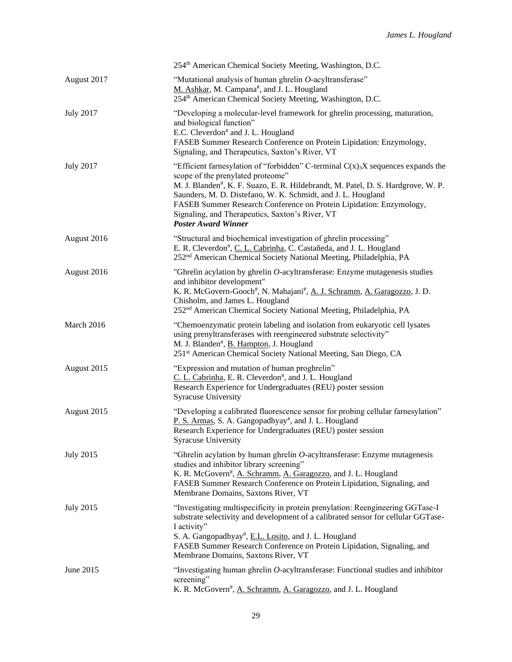|                  | 254 <sup>th</sup> American Chemical Society Meeting, Washington, D.C.                                                                                                                                                                                                                                                                                                                                                                           |
|------------------|-------------------------------------------------------------------------------------------------------------------------------------------------------------------------------------------------------------------------------------------------------------------------------------------------------------------------------------------------------------------------------------------------------------------------------------------------|
| August 2017      | "Mutational analysis of human ghrelin O-acyltransferase"<br>M. Ashkar, M. Campana <sup>#</sup> , and J. L. Hougland<br>254 <sup>th</sup> American Chemical Society Meeting, Washington, D.C.                                                                                                                                                                                                                                                    |
| <b>July 2017</b> | "Developing a molecular-level framework for ghrelin processing, maturation,<br>and biological function"<br>E.C. Cleverdon <sup>#</sup> and J. L. Hougland<br>FASEB Summer Research Conference on Protein Lipidation: Enzymology,<br>Signaling, and Therapeutics, Saxton's River, VT                                                                                                                                                             |
| <b>July 2017</b> | "Efficient farnesylation of "forbidden" C-terminal $C(x)$ <sub>3</sub> X sequences expands the<br>scope of the prenylated proteome"<br>M. J. Blanden#, K. F. Suazo, E. R. Hildebrandt, M. Patel, D. S. Hardgrove, W. P.<br>Saunders, M. D. Distefano, W. K. Schmidt, and J. L. Hougland<br>FASEB Summer Research Conference on Protein Lipidation: Enzymology,<br>Signaling, and Therapeutics, Saxton's River, VT<br><b>Poster Award Winner</b> |
| August 2016      | "Structural and biochemical investigation of ghrelin processing"<br>E. R. Cleverdon#, C. L. Cabrinha, C. Castañeda, and J. L. Hougland<br>252 <sup>nd</sup> American Chemical Society National Meeting, Philadelphia, PA                                                                                                                                                                                                                        |
| August 2016      | "Ghrelin acylation by ghrelin O-acyltransferase: Enzyme mutagenesis studies<br>and inhibitor development"<br>K. R. McGovern-Gooch <sup>#</sup> , N. Mahajani <sup>#</sup> , A. J. Schramm, A. Garagozzo, J. D.<br>Chisholm, and James L. Hougland<br>252 <sup>nd</sup> American Chemical Society National Meeting, Philadelphia, PA                                                                                                             |
| March 2016       | "Chemoenzymatic protein labeling and isolation from eukaryotic cell lysates<br>using prenyltransferases with reengineered substrate selectivity"<br>M. J. Blanden#, B. Hampton, J. Hougland<br>251 <sup>st</sup> American Chemical Society National Meeting, San Diego, CA                                                                                                                                                                      |
| August 2015      | "Expression and mutation of human proghrelin"<br>C. L. Cabrinha, E. R. Cleverdon <sup>#</sup> , and J. L. Hougland<br>Research Experience for Undergraduates (REU) poster session<br><b>Syracuse University</b>                                                                                                                                                                                                                                 |
| August 2015      | "Developing a calibrated fluorescence sensor for probing cellular farnesylation"<br>P. S. Armas, S. A. Gangopadhyay <sup>#</sup> , and J. L. Hougland<br>Research Experience for Undergraduates (REU) poster session<br><b>Syracuse University</b>                                                                                                                                                                                              |
| <b>July 2015</b> | "Ghrelin acylation by human ghrelin O-acyltransferase: Enzyme mutagenesis<br>studies and inhibitor library screening"<br>K. R. McGovern#, A. Schramm, A. Garagozzo, and J. L. Hougland<br>FASEB Summer Research Conference on Protein Lipidation, Signaling, and<br>Membrane Domains, Saxtons River, VT                                                                                                                                         |
| <b>July 2015</b> | "Investigating multispecificity in protein prenylation: Reengineering GGTase-I<br>substrate selectivity and development of a calibrated sensor for cellular GGTase-<br>I activity"<br>S. A. Gangopadhyay <sup>#</sup> , E.L. Losito, and J. L. Hougland<br>FASEB Summer Research Conference on Protein Lipidation, Signaling, and<br>Membrane Domains, Saxtons River, VT                                                                        |
| June 2015        | "Investigating human ghrelin O-acyltransferase: Functional studies and inhibitor<br>screening"<br>K. R. McGovern#, A. Schramm, A. Garagozzo, and J. L. Hougland                                                                                                                                                                                                                                                                                 |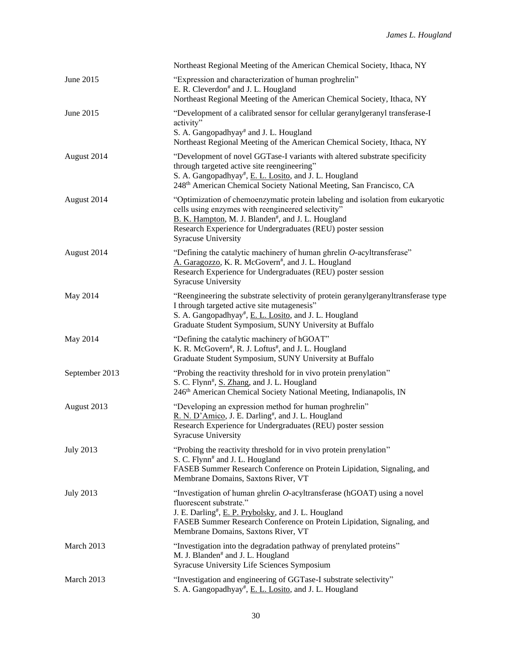|                  | Northeast Regional Meeting of the American Chemical Society, Ithaca, NY                                                                                                                                                                                                                             |
|------------------|-----------------------------------------------------------------------------------------------------------------------------------------------------------------------------------------------------------------------------------------------------------------------------------------------------|
| June 2015        | "Expression and characterization of human proghrelin"<br>E. R. Cleverdon <sup>#</sup> and J. L. Hougland<br>Northeast Regional Meeting of the American Chemical Society, Ithaca, NY                                                                                                                 |
| June 2015        | "Development of a calibrated sensor for cellular geranylgeranyl transferase-I<br>activity"<br>S. A. Gangopadhyay <sup>#</sup> and J. L. Hougland<br>Northeast Regional Meeting of the American Chemical Society, Ithaca, NY                                                                         |
| August 2014      | "Development of novel GGTase-I variants with altered substrate specificity<br>through targeted active site reengineering"<br>S. A. Gangopadhyay <sup>#</sup> , E. L. Losito, and J. L. Hougland<br>248 <sup>th</sup> American Chemical Society National Meeting, San Francisco, CA                  |
| August 2014      | "Optimization of chemoenzymatic protein labeling and isolation from eukaryotic<br>cells using enzymes with reengineered selectivity"<br>B. K. Hampton, M. J. Blanden <sup>#</sup> , and J. L. Hougland<br>Research Experience for Undergraduates (REU) poster session<br><b>Syracuse University</b> |
| August 2014      | "Defining the catalytic machinery of human ghrelin $O$ -acyltransferase"<br>A. Garagozzo, K. R. McGovern <sup>#</sup> , and J. L. Hougland<br>Research Experience for Undergraduates (REU) poster session<br><b>Syracuse University</b>                                                             |
| May 2014         | "Reengineering the substrate selectivity of protein geranylgeranyltransferase type<br>I through targeted active site mutagenesis"<br>S. A. Gangopadhyay#, E. L. Losito, and J. L. Hougland<br>Graduate Student Symposium, SUNY University at Buffalo                                                |
| May 2014         | "Defining the catalytic machinery of hGOAT"<br>K. R. McGovern#, R. J. Loftus#, and J. L. Hougland<br>Graduate Student Symposium, SUNY University at Buffalo                                                                                                                                         |
| September 2013   | "Probing the reactivity threshold for in vivo protein prenylation"<br>S. C. Flynn <sup>#</sup> , S. Zhang, and J. L. Hougland<br>246th American Chemical Society National Meeting, Indianapolis, IN                                                                                                 |
| August 2013      | "Developing an expression method for human proghrelin"<br>R. N. D'Amico, J. E. Darling#, and J. L. Hougland<br>Research Experience for Undergraduates (REU) poster session<br><b>Syracuse University</b>                                                                                            |
| <b>July 2013</b> | "Probing the reactivity threshold for in vivo protein prenylation"<br>S. C. Flynn <sup>#</sup> and J. L. Hougland<br>FASEB Summer Research Conference on Protein Lipidation, Signaling, and<br>Membrane Domains, Saxtons River, VT                                                                  |
| <b>July 2013</b> | "Investigation of human ghrelin O-acyltransferase (hGOAT) using a novel<br>fluorescent substrate."<br>J. E. Darling#, E. P. Prybolsky, and J. L. Hougland<br>FASEB Summer Research Conference on Protein Lipidation, Signaling, and<br>Membrane Domains, Saxtons River, VT                          |
| March 2013       | "Investigation into the degradation pathway of prenylated proteins"<br>M. J. Blanden <sup>#</sup> and J. L. Hougland<br>Syracuse University Life Sciences Symposium                                                                                                                                 |
| March 2013       | "Investigation and engineering of GGTase-I substrate selectivity"<br>S. A. Gangopadhyay#, E. L. Losito, and J. L. Hougland                                                                                                                                                                          |